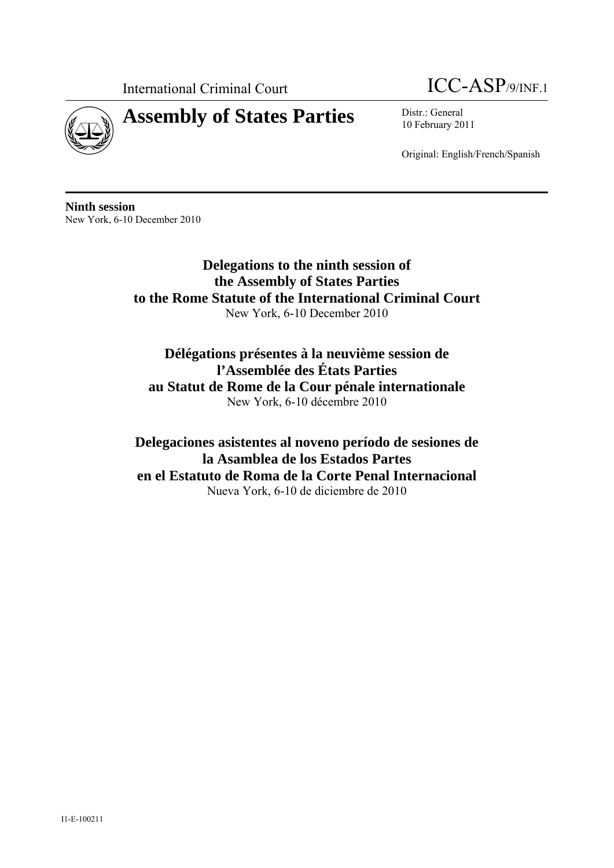



10 February 2011

Original: English/French/Spanish

**Ninth session**  New York, 6-10 December 2010

> **Delegations to the ninth session of the Assembly of States Parties to the Rome Statute of the International Criminal Court**  New York, 6-10 December 2010

**Délégations présentes à la neuvième session de l'Assemblée des États Parties au Statut de Rome de la Cour pénale internationale**  New York, 6-10 décembre 2010

**Delegaciones asistentes al noveno período de sesiones de la Asamblea de los Estados Partes en el Estatuto de Roma de la Corte Penal Internacional**  Nueva York, 6-10 de diciembre de 2010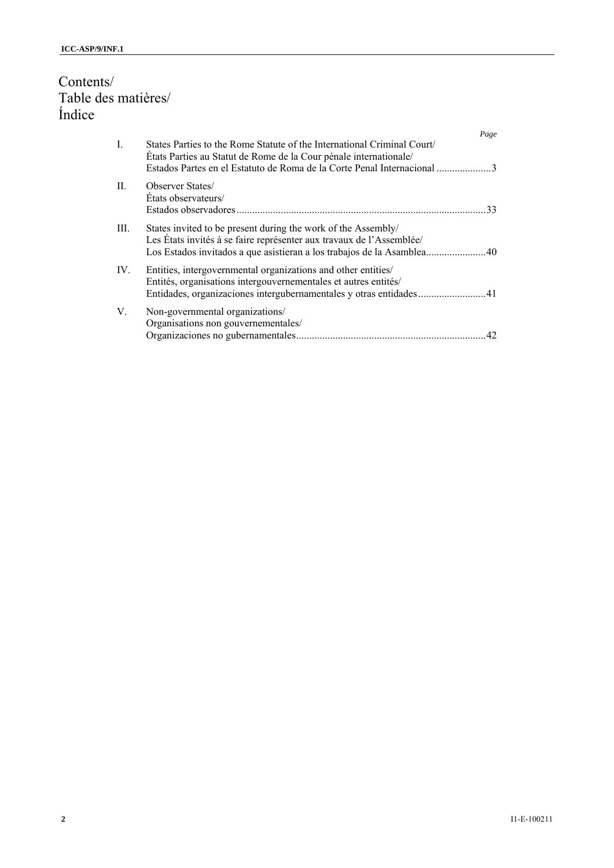# Contents/ Table des matières/ Índice

|                |                                                                                                                                                                                                                      | Page |
|----------------|----------------------------------------------------------------------------------------------------------------------------------------------------------------------------------------------------------------------|------|
| $\mathbf{I}$ . | States Parties to the Rome Statute of the International Criminal Court<br>États Parties au Statut de Rome de la Cour pénale internationale/<br>Estados Partes en el Estatuto de Roma de la Corte Penal Internacional |      |
| $\Pi$ .        | <b>Observer States</b><br>Etats observateurs/                                                                                                                                                                        | 33   |
| III.           | States invited to be present during the work of the Assembly/<br>Les États invités à se faire représenter aux travaux de l'Assemblée/                                                                                |      |
| IV.            | Entities, intergovernmental organizations and other entities/<br>Entités, organisations intergouvernementales et autres entités/<br>Entidades, organizaciones intergubernamentales y otras entidades41               |      |
| V.             | Non-governmental organizations/<br>Organisations non gouvernementales/                                                                                                                                               | 42   |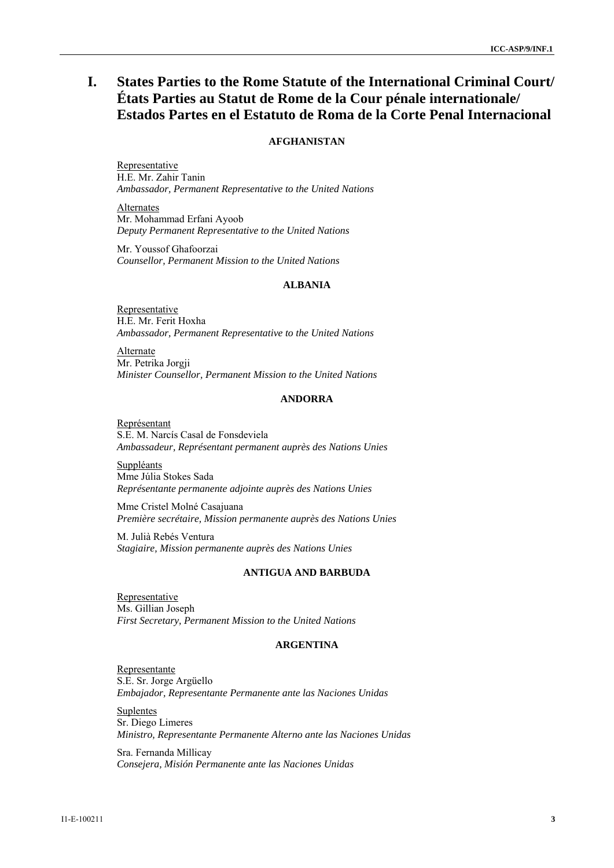# **I. States Parties to the Rome Statute of the International Criminal Court/ États Parties au Statut de Rome de la Cour pénale internationale/ Estados Partes en el Estatuto de Roma de la Corte Penal Internacional**

## **AFGHANISTAN**

Representative H.E. Mr. Zahir Tanin *Ambassador, Permanent Representative to the United Nations* 

**Alternates** Mr. Mohammad Erfani Ayoob *Deputy Permanent Representative to the United Nations* 

Mr. Youssof Ghafoorzai *Counsellor, Permanent Mission to the United Nations* 

## **ALBANIA**

Representative H.E. Mr. Ferit Hoxha *Ambassador, Permanent Representative to the United Nations* 

**Alternate** Mr. Petrika Jorgji *Minister Counsellor, Permanent Mission to the United Nations* 

## **ANDORRA**

Représentant S.E. M. Narcís Casal de Fonsdeviela *Ambassadeur, Représentant permanent auprès des Nations Unies* 

Suppléants Mme Júlia Stokes Sada *Représentante permanente adjointe auprès des Nations Unies* 

Mme Cristel Molné Casajuana *Première secrétaire, Mission permanente auprès des Nations Unies* 

M. Julià Rebés Ventura *Stagiaire, Mission permanente auprès des Nations Unies* 

### **ANTIGUA AND BARBUDA**

Representative Ms. Gillian Joseph *First Secretary, Permanent Mission to the United Nations* 

#### **ARGENTINA**

Representante S.E. Sr. Jorge Argüello *Embajador, Representante Permanente ante las Naciones Unidas* 

**Suplentes** Sr. Diego Limeres *Ministro, Representante Permanente Alterno ante las Naciones Unidas* 

Sra. Fernanda Millicay *Consejera, Misión Permanente ante las Naciones Unidas*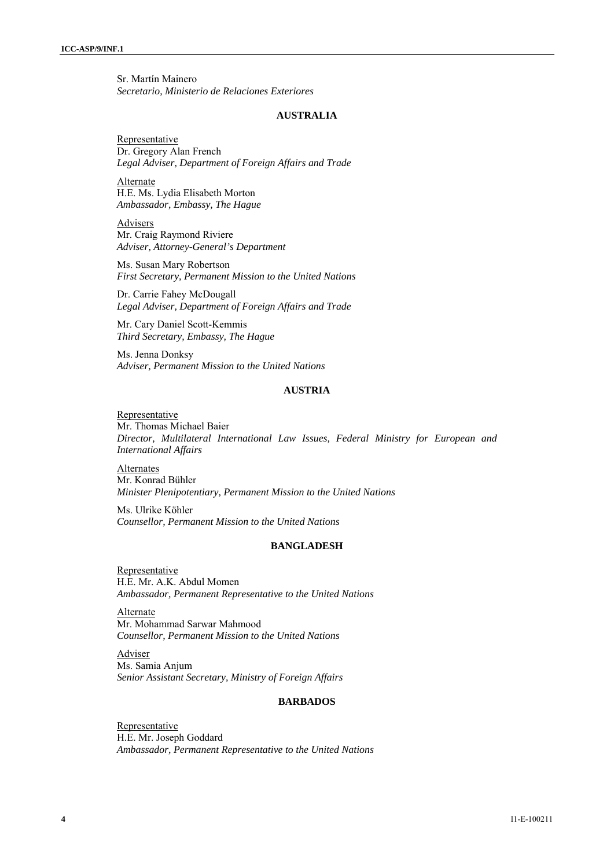Sr. Martín Mainero *Secretario, Ministerio de Relaciones Exteriores* 

#### **AUSTRALIA**

**Representative** Dr. Gregory Alan French *Legal Adviser, Department of Foreign Affairs and Trade* 

Alternate H.E. Ms. Lydia Elisabeth Morton *Ambassador, Embassy, The Hague* 

Advisers Mr. Craig Raymond Riviere *Adviser, Attorney-General's Department* 

Ms. Susan Mary Robertson *First Secretary, Permanent Mission to the United Nations* 

Dr. Carrie Fahey McDougall *Legal Adviser, Department of Foreign Affairs and Trade* 

Mr. Cary Daniel Scott-Kemmis *Third Secretary, Embassy, The Hague* 

Ms. Jenna Donksy *Adviser, Permanent Mission to the United Nations* 

### **AUSTRIA**

**Representative** Mr. Thomas Michael Baier *Director, Multilateral International Law Issues, Federal Ministry for European and International Affairs* 

Alternates Mr. Konrad Bühler *Minister Plenipotentiary, Permanent Mission to the United Nations* 

Ms. Ulrike Köhler *Counsellor, Permanent Mission to the United Nations* 

## **BANGLADESH**

Representative H.E. Mr. A.K. Abdul Momen *Ambassador, Permanent Representative to the United Nations* 

Alternate Mr. Mohammad Sarwar Mahmood *Counsellor, Permanent Mission to the United Nations* 

Adviser Ms. Samia Anjum *Senior Assistant Secretary, Ministry of Foreign Affairs* 

#### **BARBADOS**

Representative H.E. Mr. Joseph Goddard *Ambassador, Permanent Representative to the United Nations*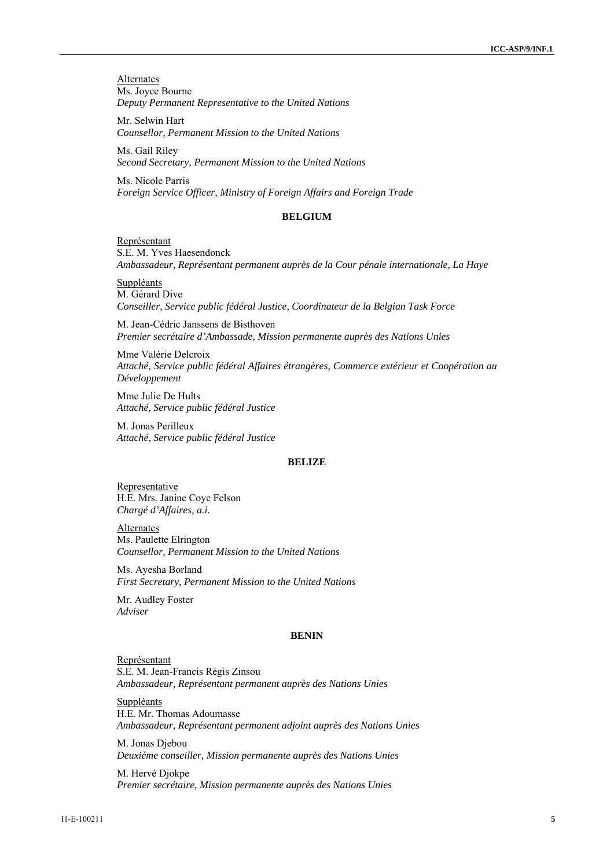**Alternates** Ms. Joyce Bourne *Deputy Permanent Representative to the United Nations* 

Mr. Selwin Hart *Counsellor, Permanent Mission to the United Nations* 

Ms. Gail Riley *Second Secretary, Permanent Mission to the United Nations* 

Ms. Nicole Parris *Foreign Service Officer, Ministry of Foreign Affairs and Foreign Trade* 

#### **BELGIUM**

Représentant S.E. M. Yves Haesendonck *Ambassadeur, Représentant permanent auprès de la Cour pénale internationale, La Haye* 

Suppléants M. Gérard Dive *Conseiller, Service public fédéral Justice, Coordinateur de la Belgian Task Force* 

M. Jean-Cédric Janssens de Bisthoven *Premier secrétaire d'Ambassade, Mission permanente auprès des Nations Unies* 

Mme Valérie Delcroix *Attaché, Service public fédéral Affaires étrangères, Commerce extérieur et Coopération au Développement* 

Mme Julie De Hults *Attaché, Service public fédéral Justice* 

M. Jonas Perilleux *Attaché, Service public fédéral Justice* 

#### **BELIZE**

**Representative** H.E. Mrs. Janine Coye Felson *Chargé d'Affaires, a.i.* 

Alternates Ms. Paulette Elrington *Counsellor, Permanent Mission to the United Nations* 

Ms. Ayesha Borland *First Secretary, Permanent Mission to the United Nations* 

Mr. Audley Foster *Adviser* 

#### **BENIN**

Représentant S.E. M. Jean-Francis Régis Zinsou *Ambassadeur, Représentant permanent auprès des Nations Unies* 

Suppléants H.E. Mr. Thomas Adoumasse *Ambassadeur, Représentant permanent adjoint auprès des Nations Unies* 

M. Jonas Djebou *Deuxième conseiller, Mission permanente auprès des Nations Unies* 

M. Hervé Djokpe *Premier secrétaire, Mission permanente auprès des Nations Unies*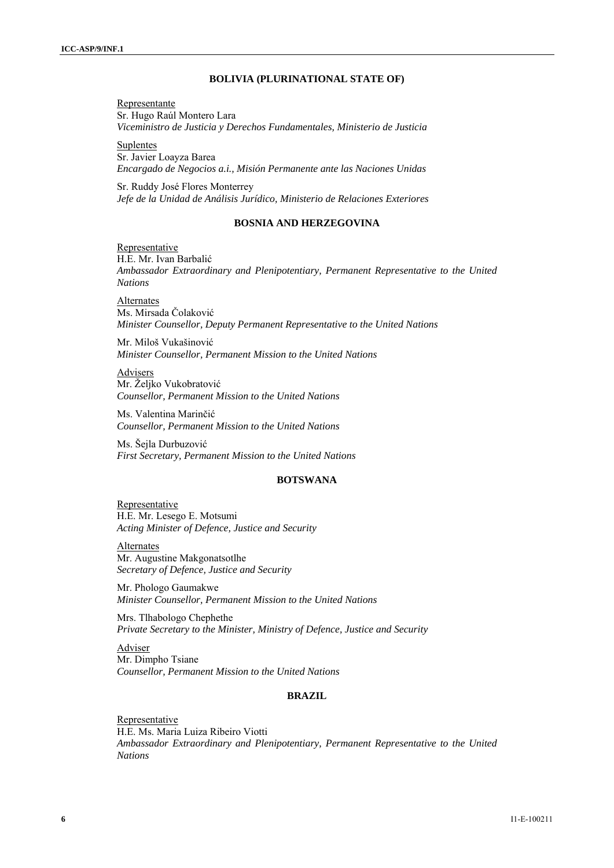### **BOLIVIA (PLURINATIONAL STATE OF)**

Representante Sr. Hugo Raúl Montero Lara *Viceministro de Justicia y Derechos Fundamentales, Ministerio de Justicia* 

Suplentes Sr. Javier Loayza Barea *Encargado de Negocios a.i., Misión Permanente ante las Naciones Unidas* 

Sr. Ruddy José Flores Monterrey *Jefe de la Unidad de Análisis Jurídico, Ministerio de Relaciones Exteriores* 

### **BOSNIA AND HERZEGOVINA**

Representative H.E. Mr. Ivan Barbalić *Ambassador Extraordinary and Plenipotentiary, Permanent Representative to the United Nations* 

Alternates Ms. Mirsada Čolaković *Minister Counsellor, Deputy Permanent Representative to the United Nations* 

Mr. Miloš Vukašinović *Minister Counsellor, Permanent Mission to the United Nations* 

**Advisers** Mr. Željko Vukobratović *Counsellor, Permanent Mission to the United Nations* 

Ms. Valentina Marinčić *Counsellor, Permanent Mission to the United Nations* 

Ms. Šejla Durbuzović *First Secretary, Permanent Mission to the United Nations* 

#### **BOTSWANA**

**Representative** H.E. Mr. Lesego E. Motsumi *Acting Minister of Defence, Justice and Security* 

**Alternates** Mr. Augustine Makgonatsotlhe *Secretary of Defence, Justice and Security* 

Mr. Phologo Gaumakwe *Minister Counsellor, Permanent Mission to the United Nations*

Mrs. Tlhabologo Chephethe *Private Secretary to the Minister, Ministry of Defence, Justice and Security* 

Adviser Mr. Dimpho Tsiane *Counsellor, Permanent Mission to the United Nations* 

## **BRAZIL**

Representative H.E. Ms. Maria Luiza Ribeiro Viotti *Ambassador Extraordinary and Plenipotentiary, Permanent Representative to the United Nations*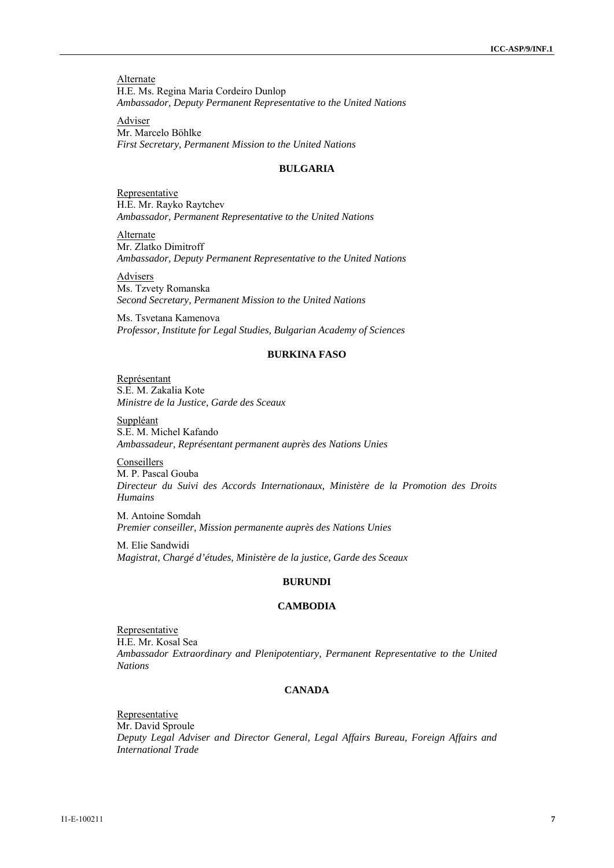**Alternate** H.E. Ms. Regina Maria Cordeiro Dunlop *Ambassador, Deputy Permanent Representative to the United Nations* 

Adviser Mr. Marcelo Böhlke *First Secretary, Permanent Mission to the United Nations* 

## **BULGARIA**

Representative H.E. Mr. Rayko Raytchev *Ambassador, Permanent Representative to the United Nations* 

Alternate Mr. Zlatko Dimitroff *Ambassador, Deputy Permanent Representative to the United Nations* 

Advisers Ms. Tzvety Romanska *Second Secretary, Permanent Mission to the United Nations* 

Ms. Tsvetana Kamenova *Professor, Institute for Legal Studies, Bulgarian Academy of Sciences* 

## **BURKINA FASO**

Représentant S.E. M. Zakalia Kote *Ministre de la Justice, Garde des Sceaux* 

Suppléant S.E. M. Michel Kafando *Ambassadeur, Représentant permanent auprès des Nations Unies* 

Conseillers M. P. Pascal Gouba *Directeur du Suivi des Accords Internationaux, Ministère de la Promotion des Droits Humains* 

M. Antoine Somdah *Premier conseiller, Mission permanente auprès des Nations Unies* 

M. Elie Sandwidi *Magistrat, Chargé d'études, Ministère de la justice, Garde des Sceaux* 

## **BURUNDI**

## **CAMBODIA**

Representative H.E. Mr. Kosal Sea *Ambassador Extraordinary and Plenipotentiary, Permanent Representative to the United Nations* 

## **CANADA**

**Representative** Mr. David Sproule *Deputy Legal Adviser and Director General, Legal Affairs Bureau, Foreign Affairs and International Trade*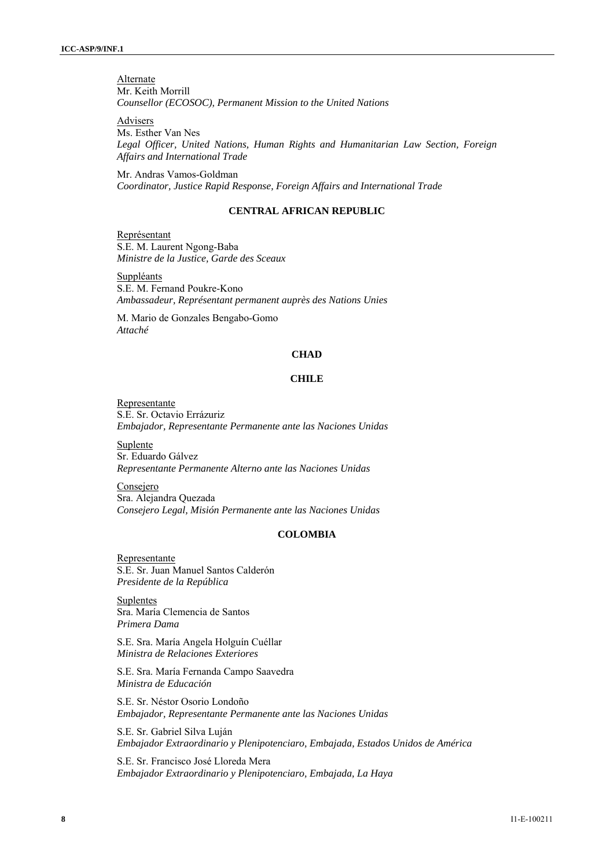**Alternate** Mr. Keith Morrill *Counsellor (ECOSOC), Permanent Mission to the United Nations* 

Advisers

Ms. Esther Van Nes *Legal Officer, United Nations, Human Rights and Humanitarian Law Section, Foreign Affairs and International Trade* 

Mr. Andras Vamos-Goldman *Coordinator, Justice Rapid Response, Foreign Affairs and International Trade* 

### **CENTRAL AFRICAN REPUBLIC**

Représentant S.E. M. Laurent Ngong-Baba *Ministre de la Justice, Garde des Sceaux* 

Suppléants S.E. M. Fernand Poukre-Kono *Ambassadeur, Représentant permanent auprès des Nations Unies* 

M. Mario de Gonzales Bengabo-Gomo *Attaché* 

### **CHAD**

#### **CHILE**

Representante S.E. Sr. Octavio Errázuriz *Embajador, Representante Permanente ante las Naciones Unidas* 

Suplente Sr. Eduardo Gálvez *Representante Permanente Alterno ante las Naciones Unidas* 

**Consejero** Sra. Alejandra Quezada *Consejero Legal, Misión Permanente ante las Naciones Unidas* 

## **COLOMBIA**

Representante S.E. Sr. Juan Manuel Santos Calderón *Presidente de la República* 

**Suplentes** Sra. María Clemencia de Santos *Primera Dama* 

S.E. Sra. María Angela Holguín Cuéllar *Ministra de Relaciones Exteriores* 

S.E. Sra. María Fernanda Campo Saavedra *Ministra de Educación* 

S.E. Sr. Néstor Osorio Londoño *Embajador, Representante Permanente ante las Naciones Unidas* 

S.E. Sr. Gabriel Silva Luján *Embajador Extraordinario y Plenipotenciaro, Embajada, Estados Unidos de América* 

S.E. Sr. Francisco José Lloreda Mera *Embajador Extraordinario y Plenipotenciaro, Embajada, La Haya*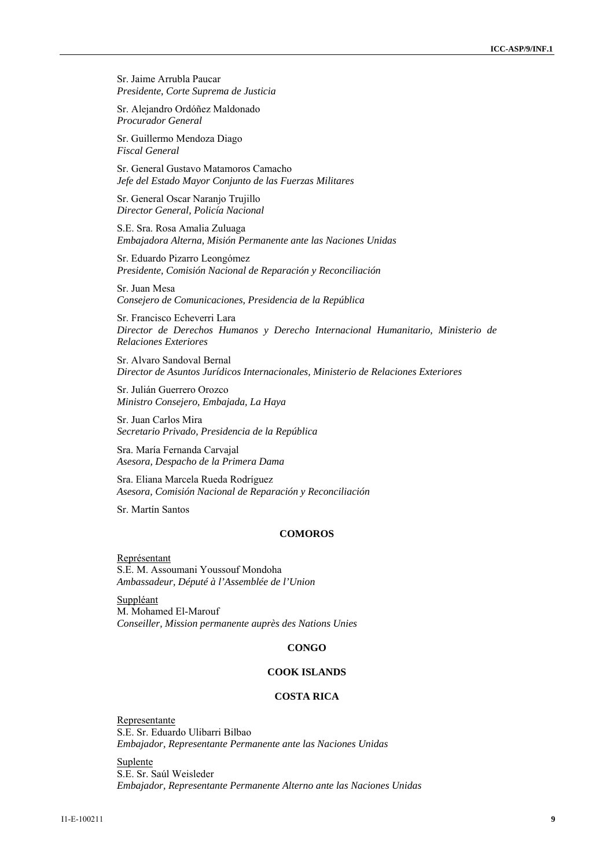Sr. Jaime Arrubla Paucar *Presidente, Corte Suprema de Justicia* 

Sr. Alejandro Ordóñez Maldonado *Procurador General* 

Sr. Guillermo Mendoza Diago *Fiscal General* 

Sr. General Gustavo Matamoros Camacho *Jefe del Estado Mayor Conjunto de las Fuerzas Militares* 

Sr. General Oscar Naranjo Trujillo *Director General, Policía Nacional* 

S.E. Sra. Rosa Amalia Zuluaga *Embajadora Alterna, Misión Permanente ante las Naciones Unidas* 

Sr. Eduardo Pizarro Leongómez *Presidente, Comisión Nacional de Reparación y Reconciliación* 

Sr. Juan Mesa *Consejero de Comunicaciones, Presidencia de la República* 

Sr. Francisco Echeverri Lara *Director de Derechos Humanos y Derecho Internacional Humanitario, Ministerio de Relaciones Exteriores* 

Sr. Alvaro Sandoval Bernal *Director de Asuntos Jurídicos Internacionales, Ministerio de Relaciones Exteriores* 

Sr. Julián Guerrero Orozco *Ministro Consejero, Embajada, La Haya* 

Sr. Juan Carlos Mira *Secretario Privado, Presidencia de la República* 

Sra. María Fernanda Carvajal *Asesora, Despacho de la Primera Dama* 

Sra. Eliana Marcela Rueda Rodríguez *Asesora, Comisión Nacional de Reparación y Reconciliación* 

Sr. Martín Santos

#### **COMOROS**

Représentant S.E. M. Assoumani Youssouf Mondoha *Ambassadeur, Député à l'Assemblée de l'Union* 

**Suppléant** M. Mohamed El-Marouf *Conseiller, Mission permanente auprès des Nations Unies* 

### **CONGO**

## **COOK ISLANDS**

## **COSTA RICA**

Representante S.E. Sr. Eduardo Ulibarri Bilbao *Embajador, Representante Permanente ante las Naciones Unidas* 

Suplente S.E. Sr. Saúl Weisleder *Embajador, Representante Permanente Alterno ante las Naciones Unidas*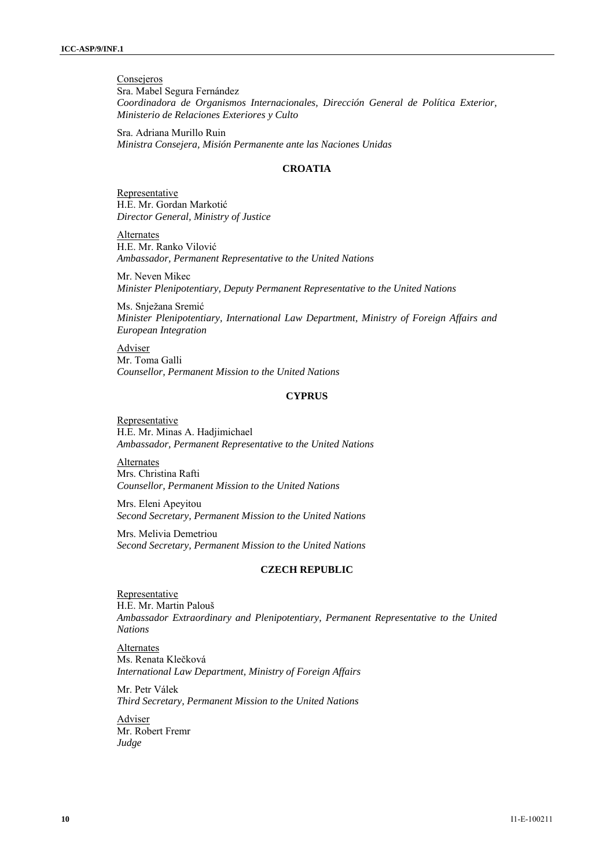**Consejeros** Sra. Mabel Segura Fernández *Coordinadora de Organismos Internacionales, Dirección General de Política Exterior, Ministerio de Relaciones Exteriores y Culto* 

Sra. Adriana Murillo Ruin *Ministra Consejera, Misión Permanente ante las Naciones Unidas* 

## **CROATIA**

Representative H.E. Mr. Gordan Markotić *Director General, Ministry of Justice* 

Alternates H.E. Mr. Ranko Vilović *Ambassador, Permanent Representative to the United Nations* 

Mr. Neven Mikec *Minister Plenipotentiary, Deputy Permanent Representative to the United Nations* 

Ms. Snježana Sremić *Minister Plenipotentiary, International Law Department, Ministry of Foreign Affairs and European Integration* 

Adviser Mr. Toma Galli *Counsellor, Permanent Mission to the United Nations* 

### **CYPRUS**

Representative H.E. Mr. Minas A. Hadjimichael *Ambassador, Permanent Representative to the United Nations* 

Alternates Mrs. Christina Rafti *Counsellor, Permanent Mission to the United Nations* 

Mrs. Eleni Apeyitou *Second Secretary, Permanent Mission to the United Nations* 

Mrs. Melivia Demetriou *Second Secretary, Permanent Mission to the United Nations* 

## **CZECH REPUBLIC**

Representative H.E. Mr. Martin Palouš *Ambassador Extraordinary and Plenipotentiary, Permanent Representative to the United Nations* 

Alternates Ms. Renata Klečková *International Law Department, Ministry of Foreign Affairs* 

Mr. Petr Válek *Third Secretary, Permanent Mission to the United Nations* 

Adviser Mr. Robert Fremr *Judge*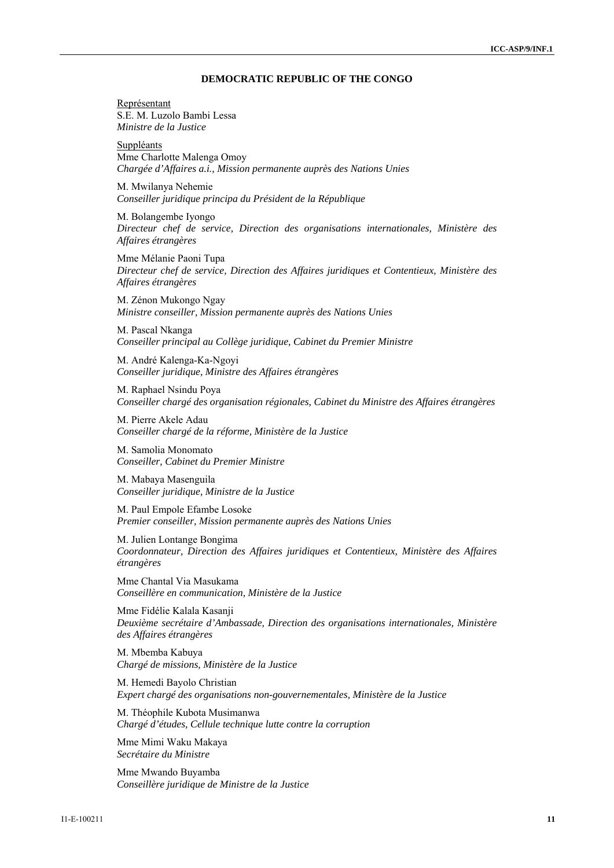### **DEMOCRATIC REPUBLIC OF THE CONGO**

Représentant S.E. M. Luzolo Bambi Lessa *Ministre de la Justice* 

Suppléants Mme Charlotte Malenga Omoy *Chargée d'Affaires a.i., Mission permanente auprès des Nations Unies* 

M. Mwilanya Nehemie *Conseiller juridique principa du Président de la République* 

M. Bolangembe Iyongo *Directeur chef de service, Direction des organisations internationales, Ministère des Affaires étrangères* 

Mme Mélanie Paoni Tupa *Directeur chef de service, Direction des Affaires juridiques et Contentieux, Ministère des Affaires étrangères* 

M. Zénon Mukongo Ngay *Ministre conseiller, Mission permanente auprès des Nations Unies* 

M. Pascal Nkanga *Conseiller principal au Collège juridique, Cabinet du Premier Ministre* 

M. André Kalenga-Ka-Ngoyi *Conseiller juridique, Ministre des Affaires étrangères* 

M. Raphael Nsindu Poya *Conseiller chargé des organisation régionales, Cabinet du Ministre des Affaires étrangères* 

M. Pierre Akele Adau *Conseiller chargé de la réforme, Ministère de la Justice* 

M. Samolia Monomato *Conseiller, Cabinet du Premier Ministre* 

M. Mabaya Masenguila *Conseiller juridique, Ministre de la Justice* 

M. Paul Empole Efambe Losoke *Premier conseiller, Mission permanente auprès des Nations Unies* 

M. Julien Lontange Bongima *Coordonnateur, Direction des Affaires juridiques et Contentieux, Ministère des Affaires étrangères* 

Mme Chantal Via Masukama *Conseillère en communication, Ministère de la Justice* 

Mme Fidélie Kalala Kasanji *Deuxième secrétaire d'Ambassade, Direction des organisations internationales, Ministère des Affaires étrangères* 

M. Mbemba Kabuya *Chargé de missions, Ministère de la Justice* 

M. Hemedi Bayolo Christian *Expert chargé des organisations non-gouvernementales, Ministère de la Justice* 

M. Théophile Kubota Musimanwa *Chargé d'études, Cellule technique lutte contre la corruption* 

Mme Mimi Waku Makaya *Secrétaire du Ministre* 

Mme Mwando Buyamba *Conseillère juridique de Ministre de la Justice*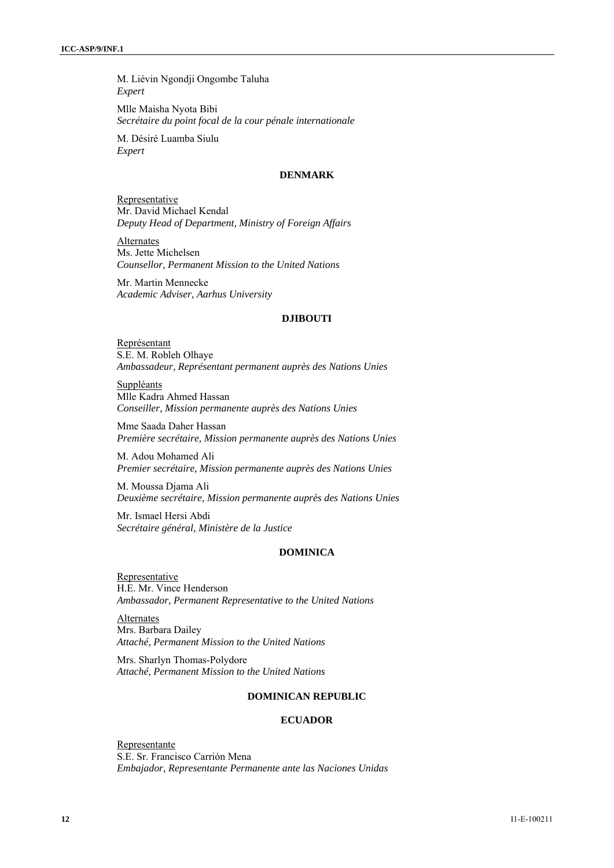M. Liévin Ngondji Ongombe Taluha *Expert* 

Mlle Maisha Nyota Bibi *Secrétaire du point focal de la cour pénale internationale* 

M. Désiré Luamba Siulu *Expert* 

## **DENMARK**

Representative Mr. David Michael Kendal *Deputy Head of Department, Ministry of Foreign Affairs*

Alternates Ms. Jette Michelsen *Counsellor, Permanent Mission to the United Nations* 

Mr. Martin Mennecke *Academic Adviser, Aarhus University* 

#### **DJIBOUTI**

Représentant S.E. M. Robleh Olhaye *Ambassadeur, Représentant permanent auprès des Nations Unies* 

Suppléants Mlle Kadra Ahmed Hassan *Conseiller, Mission permanente auprès des Nations Unies* 

Mme Saada Daher Hassan *Première secrétaire, Mission permanente auprès des Nations Unies* 

M. Adou Mohamed Ali *Premier secrétaire, Mission permanente auprès des Nations Unies* 

M. Moussa Djama Ali *Deuxième secrétaire, Mission permanente auprès des Nations Unies* 

Mr. Ismael Hersi Abdi *Secrétaire général, Ministère de la Justice* 

## **DOMINICA**

**Representative** H.E. Mr. Vince Henderson *Ambassador, Permanent Representative to the United Nations* 

Alternates Mrs. Barbara Dailey *Attaché, Permanent Mission to the United Nations* 

Mrs. Sharlyn Thomas-Polydore *Attaché, Permanent Mission to the United Nations* 

## **DOMINICAN REPUBLIC**

### **ECUADOR**

Representante S.E. Sr. Francisco Carrión Mena *Embajador, Representante Permanente ante las Naciones Unidas*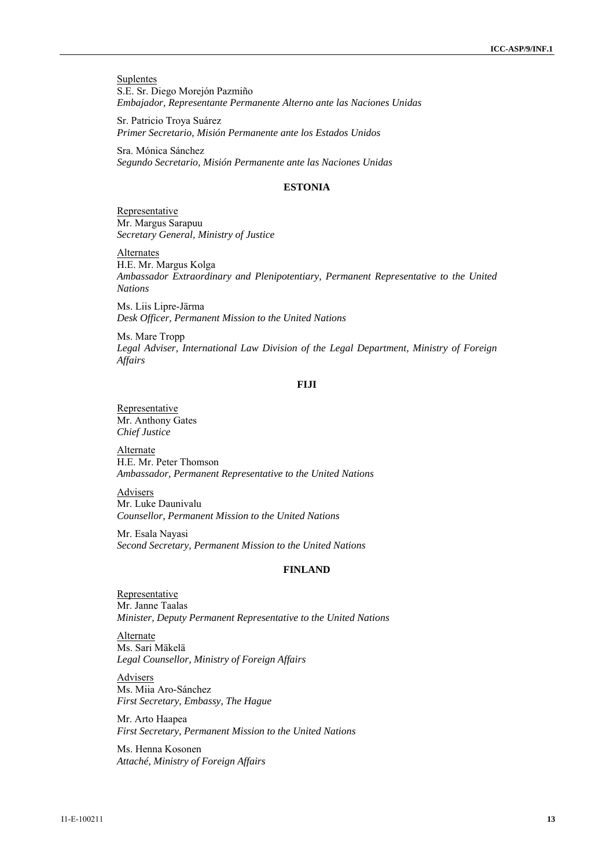**Suplentes** S.E. Sr. Diego Morejón Pazmiño *Embajador, Representante Permanente Alterno ante las Naciones Unidas* 

Sr. Patricio Troya Suárez *Primer Secretario, Misión Permanente ante los Estados Unidos* 

Sra. Mónica Sánchez *Segundo Secretario, Misión Permanente ante las Naciones Unidas* 

## **ESTONIA**

**Representative** Mr. Margus Sarapuu *Secretary General, Ministry of Justice* 

**Alternates** H.E. Mr. Margus Kolga *Ambassador Extraordinary and Plenipotentiary, Permanent Representative to the United Nations* 

Ms. Liis Lipre-Järma *Desk Officer, Permanent Mission to the United Nations* 

Ms. Mare Tropp *Legal Adviser, International Law Division of the Legal Department, Ministry of Foreign Affairs* 

#### **FIJI**

**Representative** Mr. Anthony Gates *Chief Justice* 

Alternate H.E. Mr. Peter Thomson *Ambassador, Permanent Representative to the United Nations* 

Advisers Mr. Luke Daunivalu *Counsellor, Permanent Mission to the United Nations* 

Mr. Esala Nayasi *Second Secretary, Permanent Mission to the United Nations* 

## **FINLAND**

Representative Mr. Janne Taalas *Minister, Deputy Permanent Representative to the United Nations* 

**Alternate** Ms. Sari Mäkelä *Legal Counsellor, Ministry of Foreign Affairs* 

Advisers Ms. Miia Aro-Sánchez *First Secretary, Embassy, The Hague* 

Mr. Arto Haapea *First Secretary, Permanent Mission to the United Nations* 

Ms. Henna Kosonen *Attaché, Ministry of Foreign Affairs*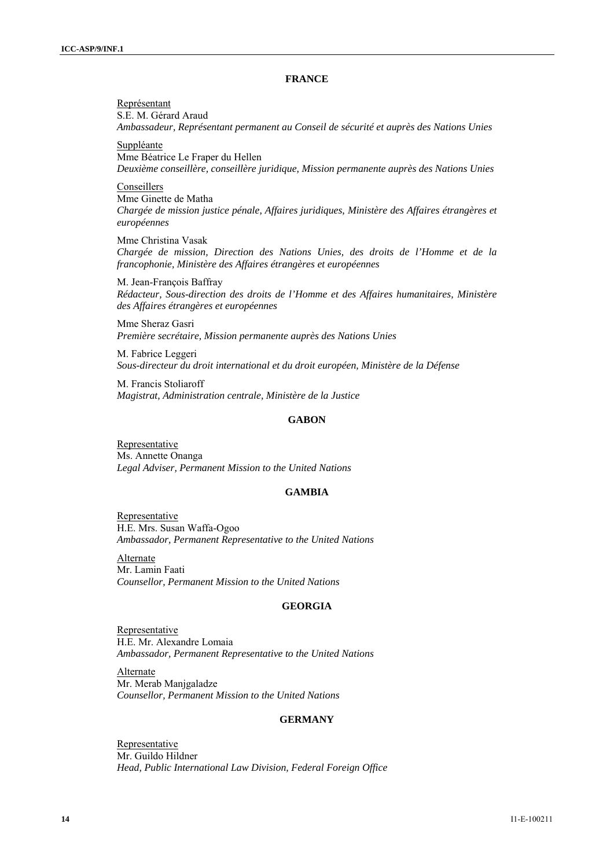## **FRANCE**

Représentant S.E. M. Gérard Araud *Ambassadeur, Représentant permanent au Conseil de sécurité et auprès des Nations Unies*  Suppléante Mme Béatrice Le Fraper du Hellen *Deuxième conseillère, conseillère juridique, Mission permanente auprès des Nations Unies*  Conseillers Mme Ginette de Matha *Chargée de mission justice pénale, Affaires juridiques, Ministère des Affaires étrangères et européennes*  Mme Christina Vasak *Chargée de mission, Direction des Nations Unies, des droits de l'Homme et de la francophonie, Ministère des Affaires étrangères et européennes*  M. Jean-François Baffray *Rédacteur, Sous-direction des droits de l'Homme et des Affaires humanitaires, Ministère des Affaires étrangères et européennes*  Mme Sheraz Gasri

*Première secrétaire, Mission permanente auprès des Nations Unies* 

M. Fabrice Leggeri *Sous-directeur du droit international et du droit européen, Ministère de la Défense* 

M. Francis Stoliaroff *Magistrat, Administration centrale, Ministère de la Justice* 

## **GABON**

**Representative** Ms. Annette Onanga *Legal Adviser, Permanent Mission to the United Nations* 

### **GAMBIA**

**Representative** H.E. Mrs. Susan Waffa-Ogoo *Ambassador, Permanent Representative to the United Nations* 

Alternate Mr. Lamin Faati *Counsellor, Permanent Mission to the United Nations* 

### **GEORGIA**

Representative H.E. Mr. Alexandre Lomaia *Ambassador, Permanent Representative to the United Nations* 

**Alternate** Mr. Merab Manjgaladze *Counsellor, Permanent Mission to the United Nations* 

### **GERMANY**

Representative Mr. Guildo Hildner *Head, Public International Law Division, Federal Foreign Office*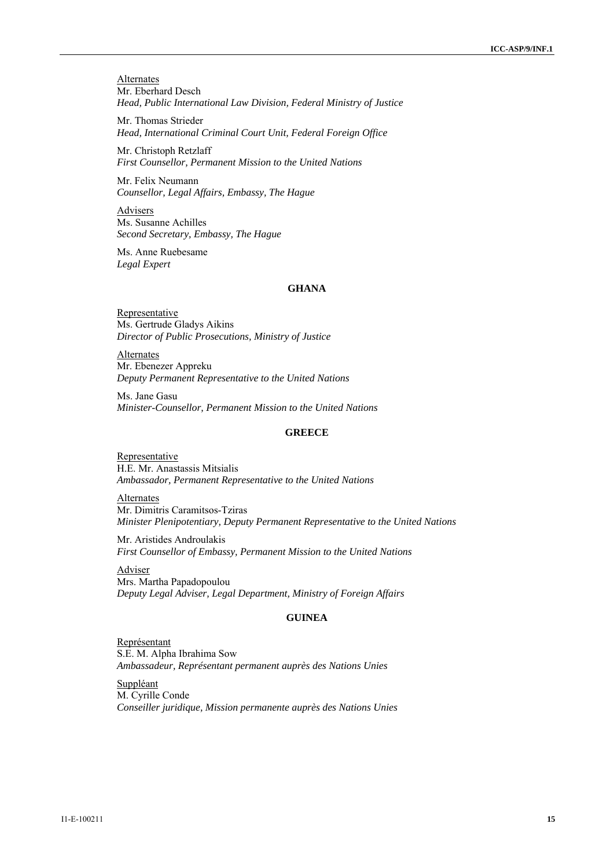**Alternates** Mr. Eberhard Desch *Head, Public International Law Division, Federal Ministry of Justice* 

Mr. Thomas Strieder *Head, International Criminal Court Unit, Federal Foreign Office* 

Mr. Christoph Retzlaff *First Counsellor, Permanent Mission to the United Nations* 

Mr. Felix Neumann *Counsellor, Legal Affairs, Embassy, The Hague* 

Advisers Ms. Susanne Achilles *Second Secretary, Embassy, The Hague* 

Ms. Anne Ruebesame *Legal Expert*

## **GHANA**

Representative Ms. Gertrude Gladys Aikins *Director of Public Prosecutions, Ministry of Justice* 

**Alternates** Mr. Ebenezer Appreku *Deputy Permanent Representative to the United Nations* 

Ms. Jane Gasu *Minister-Counsellor, Permanent Mission to the United Nations* 

## **GREECE**

**Representative** H.E. Mr. Anastassis Mitsialis *Ambassador, Permanent Representative to the United Nations* 

Alternates Mr. Dimitris Caramitsos-Tziras *Minister Plenipotentiary, Deputy Permanent Representative to the United Nations* 

Mr. Aristides Androulakis *First Counsellor of Embassy, Permanent Mission to the United Nations* 

Adviser Mrs. Martha Papadopoulou *Deputy Legal Adviser, Legal Department, Ministry of Foreign Affairs* 

## **GUINEA**

Représentant S.E. M. Alpha Ibrahima Sow *Ambassadeur, Représentant permanent auprès des Nations Unies* 

Suppléant M. Cyrille Conde *Conseiller juridique, Mission permanente auprès des Nations Unies*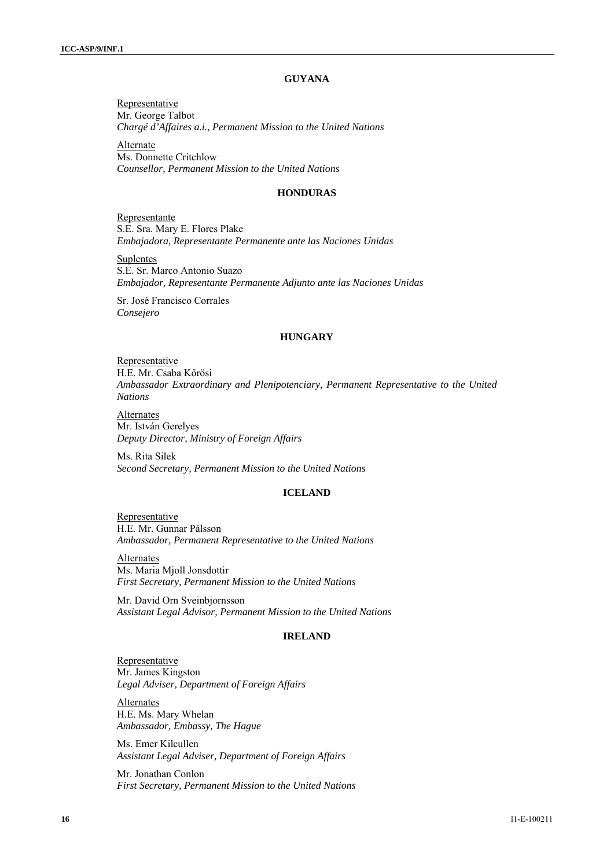## **GUYANA**

Representative Mr. George Talbot *Chargé d'Affaires a.i., Permanent Mission to the United Nations*

**Alternate** Ms. Donnette Critchlow *Counsellor, Permanent Mission to the United Nations* 

#### **HONDURAS**

Representante S.E. Sra. Mary E. Flores Plake *Embajadora, Representante Permanente ante las Naciones Unidas* 

**Suplentes** S.E. Sr. Marco Antonio Suazo *Embajador, Representante Permanente Adjunto ante las Naciones Unidas* 

Sr. José Francisco Corrales *Consejero* 

### **HUNGARY**

Representative H.E. Mr. Csaba Kőrösi *Ambassador Extraordinary and Plenipotenciary, Permanent Representative to the United Nations* 

**Alternates** Mr. István Gerelyes *Deputy Director, Ministry of Foreign Affairs* 

Ms. Rita Silek *Second Secretary, Permanent Mission to the United Nations* 

## **ICELAND**

**Representative** H.E. Mr. Gunnar Pálsson *Ambassador, Permanent Representative to the United Nations* 

Alternates Ms. Maria Mjoll Jonsdottir *First Secretary, Permanent Mission to the United Nations* 

Mr. David Orn Sveinbjornsson *Assistant Legal Advisor, Permanent Mission to the United Nations* 

## **IRELAND**

**Representative** Mr. James Kingston *Legal Adviser, Department of Foreign Affairs* 

Alternates H.E. Ms. Mary Whelan *Ambassador, Embassy, The Hague* 

Ms. Emer Kilcullen *Assistant Legal Adviser, Department of Foreign Affairs* 

Mr. Jonathan Conlon *First Secretary, Permanent Mission to the United Nations*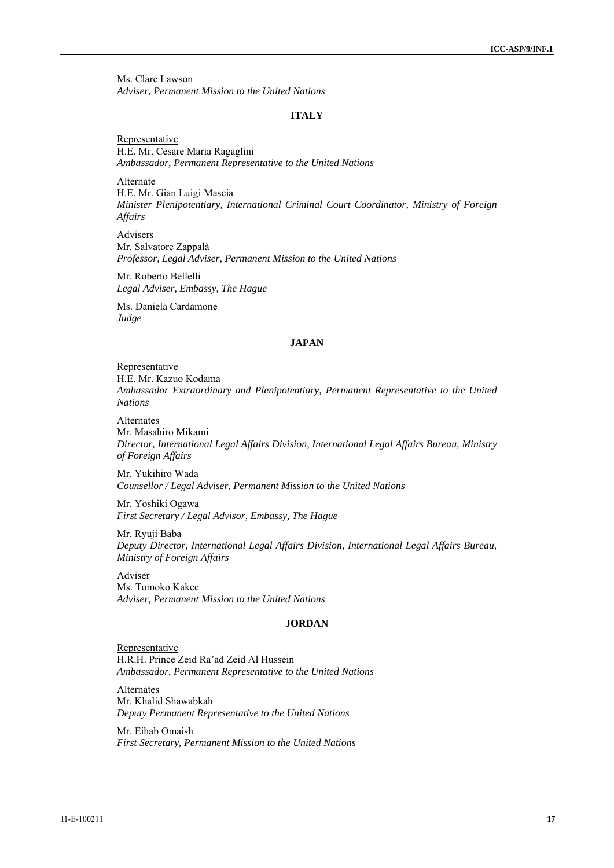Ms. Clare Lawson *Adviser, Permanent Mission to the United Nations* 

#### **ITALY**

Representative H.E. Mr. Cesare Maria Ragaglini *Ambassador, Permanent Representative to the United Nations* 

Alternate H.E. Mr. Gian Luigi Mascia *Minister Plenipotentiary, International Criminal Court Coordinator, Ministry of Foreign Affairs* 

Advisers Mr. Salvatore Zappalà *Professor, Legal Adviser, Permanent Mission to the United Nations* 

Mr. Roberto Bellelli *Legal Adviser, Embassy, The Hague* 

Ms. Daniela Cardamone *Judge* 

## **JAPAN**

Representative

H.E. Mr. Kazuo Kodama

*Ambassador Extraordinary and Plenipotentiary, Permanent Representative to the United Nations* 

Alternates

Mr. Masahiro Mikami *Director, International Legal Affairs Division, International Legal Affairs Bureau, Ministry of Foreign Affairs* 

Mr. Yukihiro Wada *Counsellor / Legal Adviser, Permanent Mission to the United Nations* 

Mr. Yoshiki Ogawa *First Secretary / Legal Advisor, Embassy, The Hague* 

Mr. Ryuji Baba *Deputy Director, International Legal Affairs Division, International Legal Affairs Bureau, Ministry of Foreign Affairs* 

Adviser Ms. Tomoko Kakee *Adviser, Permanent Mission to the United Nations* 

### **JORDAN**

Representative H.R.H. Prince Zeid Ra'ad Zeid Al Hussein *Ambassador, Permanent Representative to the United Nations* 

Alternates Mr. Khalid Shawabkah *Deputy Permanent Representative to the United Nations* 

Mr. Eihab Omaish *First Secretary, Permanent Mission to the United Nations*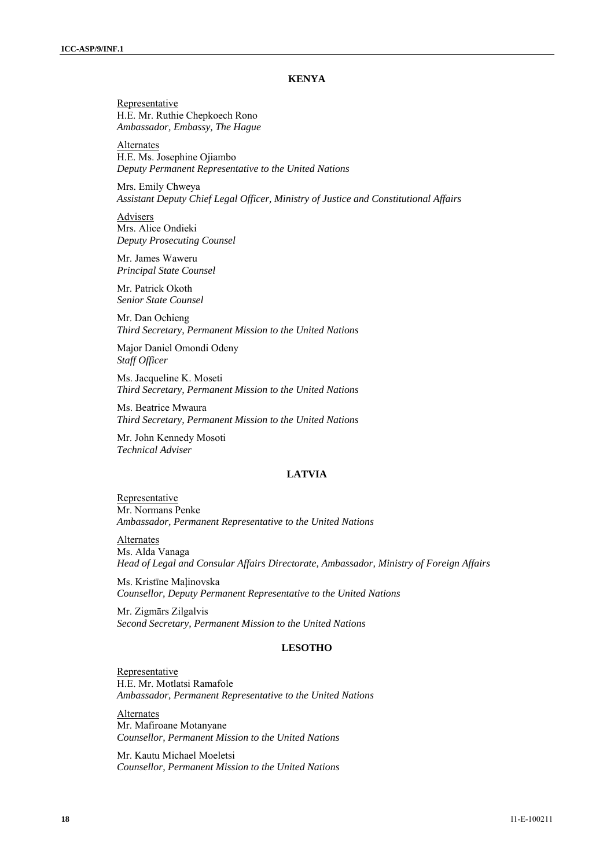### **KENYA**

Representative H.E. Mr. Ruthie Chepkoech Rono *Ambassador, Embassy, The Hague* 

Alternates H.E. Ms. Josephine Ojiambo *Deputy Permanent Representative to the United Nations* 

Mrs. Emily Chweya *Assistant Deputy Chief Legal Officer, Ministry of Justice and Constitutional Affairs* 

Advisers Mrs. Alice Ondieki *Deputy Prosecuting Counsel* 

Mr. James Waweru *Principal State Counsel* 

Mr. Patrick Okoth *Senior State Counsel* 

Mr. Dan Ochieng *Third Secretary, Permanent Mission to the United Nations* 

Major Daniel Omondi Odeny *Staff Officer* 

Ms. Jacqueline K. Moseti *Third Secretary, Permanent Mission to the United Nations* 

Ms. Beatrice Mwaura *Third Secretary, Permanent Mission to the United Nations* 

Mr. John Kennedy Mosoti *Technical Adviser* 

#### **LATVIA**

**Representative** Mr. Normans Penke *Ambassador, Permanent Representative to the United Nations* 

Alternates Ms. Alda Vanaga *Head of Legal and Consular Affairs Directorate, Ambassador, Ministry of Foreign Affairs* 

Ms. Kristīne Maļinovska *Counsellor, Deputy Permanent Representative to the United Nations* 

Mr. Zigmārs Zilgalvis *Second Secretary, Permanent Mission to the United Nations* 

### **LESOTHO**

**Representative** H.E. Mr. Motlatsi Ramafole *Ambassador, Permanent Representative to the United Nations* 

**Alternates** Mr. Mafiroane Motanyane *Counsellor, Permanent Mission to the United Nations* 

Mr. Kautu Michael Moeletsi *Counsellor, Permanent Mission to the United Nations*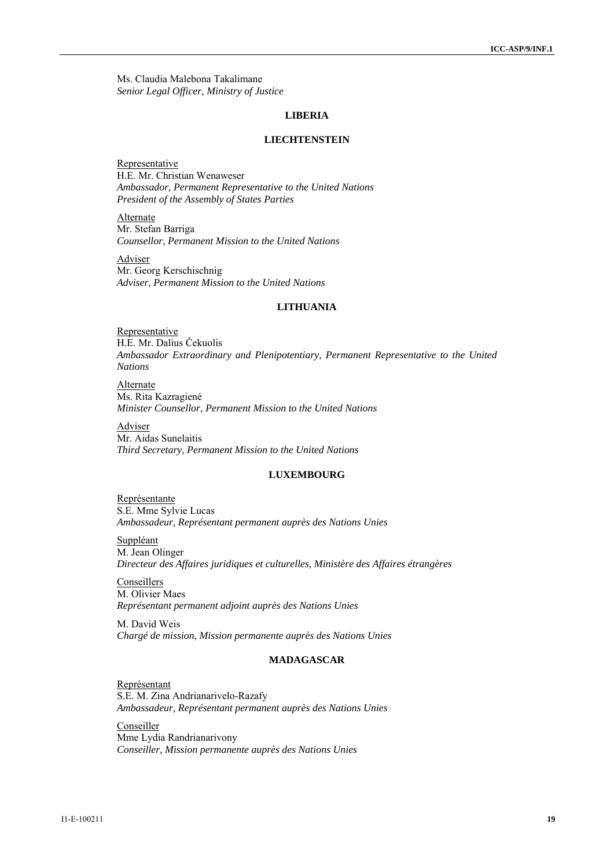Ms. Claudia Malebona Takalimane *Senior Legal Officer, Ministry of Justice* 

#### **LIBERIA**

#### **LIECHTENSTEIN**

Representative H.E. Mr. Christian Wenaweser *Ambassador, Permanent Representative to the United Nations President of the Assembly of States Parties* 

**Alternate** Mr. Stefan Barriga *Counsellor, Permanent Mission to the United Nations* 

**Adviser** Mr. Georg Kerschischnig *Adviser, Permanent Mission to the United Nations* 

## **LITHUANIA**

**Representative** H.E. Mr. Dalius Čekuolis *Ambassador Extraordinary and Plenipotentiary, Permanent Representative to the United Nations* 

Alternate Ms. Rita Kazragiené *Minister Counsellor, Permanent Mission to the United Nations* 

Adviser Mr. Aidas Sunelaitis *Third Secretary, Permanent Mission to the United Nations* 

## **LUXEMBOURG**

Représentante S.E. Mme Sylvie Lucas *Ambassadeur, Représentant permanent auprès des Nations Unies* 

Suppléant M. Jean Olinger *Directeur des Affaires juridiques et culturelles, Ministère des Affaires étrangères* 

Conseillers M. Olivier Maes *Représentant permanent adjoint auprès des Nations Unies* 

M. David Weis *Chargé de mission, Mission permanente auprès des Nations Unies* 

## **MADAGASCAR**

Représentant S.E. M. Zina Andrianarivelo-Razafy *Ambassadeur, Représentant permanent auprès des Nations Unies* 

**Conseiller** Mme Lydia Randrianarivony *Conseiller, Mission permanente auprès des Nations Unies*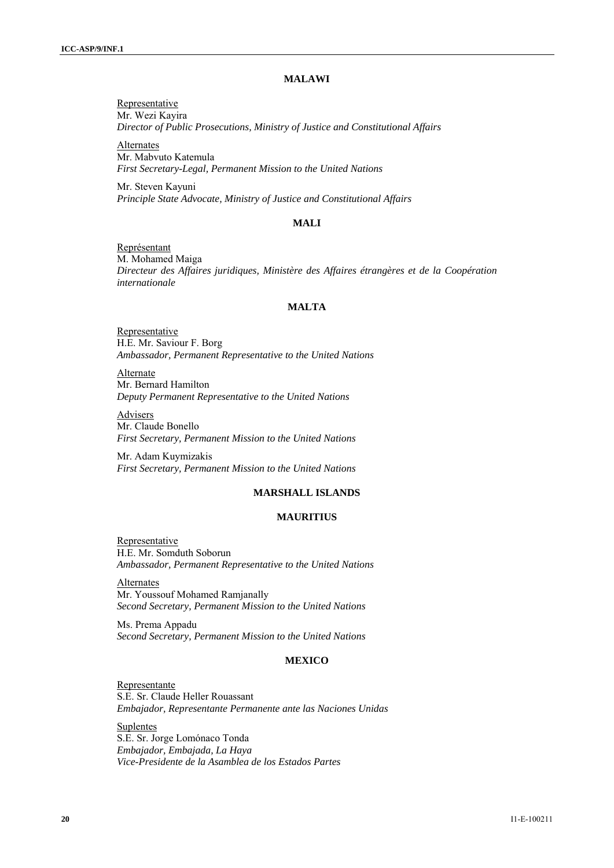## **MALAWI**

Representative Mr. Wezi Kayira *Director of Public Prosecutions, Ministry of Justice and Constitutional Affairs* 

Alternates Mr. Mabvuto Katemula *First Secretary-Legal, Permanent Mission to the United Nations* 

Mr. Steven Kayuni *Principle State Advocate, Ministry of Justice and Constitutional Affairs* 

#### **MALI**

Représentant M. Mohamed Maiga *Directeur des Affaires juridiques, Ministère des Affaires étrangères et de la Coopération internationale* 

## **MALTA**

**Representative** H.E. Mr. Saviour F. Borg *Ambassador, Permanent Representative to the United Nations* 

Alternate Mr. Bernard Hamilton *Deputy Permanent Representative to the United Nations* 

Advisers Mr. Claude Bonello *First Secretary, Permanent Mission to the United Nations* 

Mr. Adam Kuymizakis *First Secretary, Permanent Mission to the United Nations* 

## **MARSHALL ISLANDS**

## **MAURITIUS**

Representative H.E. Mr. Somduth Soborun *Ambassador, Permanent Representative to the United Nations* 

Alternates Mr. Youssouf Mohamed Ramjanally *Second Secretary, Permanent Mission to the United Nations* 

Ms. Prema Appadu *Second Secretary, Permanent Mission to the United Nations* 

## **MEXICO**

Representante S.E. Sr. Claude Heller Rouassant *Embajador, Representante Permanente ante las Naciones Unidas* 

Suplentes S.E. Sr. Jorge Lomónaco Tonda *Embajador, Embajada, La Haya Vice-Presidente de la Asamblea de los Estados Partes*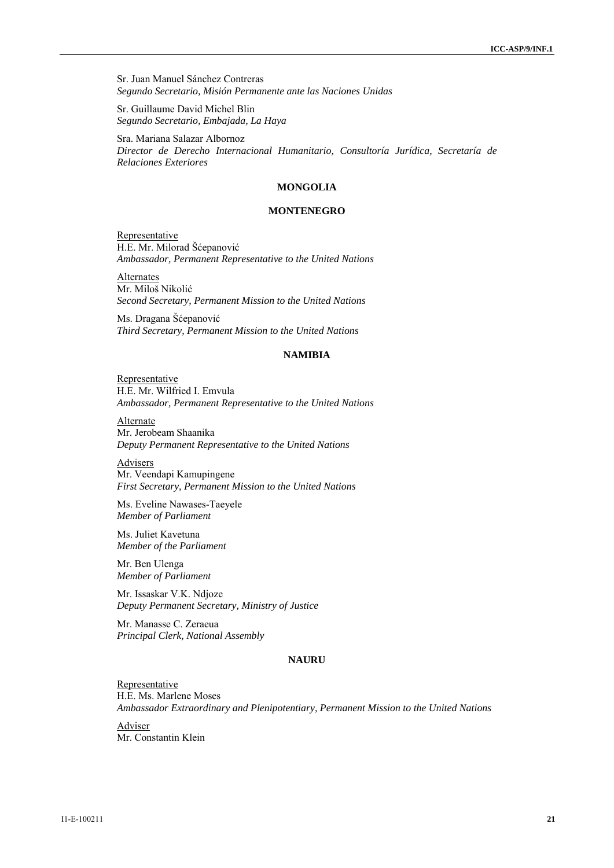Sr. Juan Manuel Sánchez Contreras *Segundo Secretario, Misión Permanente ante las Naciones Unidas* 

Sr. Guillaume David Michel Blin *Segundo Secretario, Embajada, La Haya* 

Sra. Mariana Salazar Albornoz *Director de Derecho Internacional Humanitario, Consultoría Jurídica, Secretaría de Relaciones Exteriores* 

## **MONGOLIA**

### **MONTENEGRO**

**Representative** H.E. Mr. Milorad Šćepanović *Ambassador, Permanent Representative to the United Nations* 

Alternates Mr. Miloš Nikolić *Second Secretary, Permanent Mission to the United Nations* 

Ms. Dragana Šćepanović *Third Secretary, Permanent Mission to the United Nations* 

### **NAMIBIA**

Representative H.E. Mr. Wilfried I. Emvula *Ambassador, Permanent Representative to the United Nations* 

**Alternate** Mr. Jerobeam Shaanika *Deputy Permanent Representative to the United Nations* 

Advisers Mr. Veendapi Kamupingene *First Secretary, Permanent Mission to the United Nations* 

Ms. Eveline Nawases-Taeyele *Member of Parliament* 

Ms. Juliet Kavetuna *Member of the Parliament* 

Mr. Ben Ulenga *Member of Parliament* 

Mr. Issaskar V.K. Ndjoze *Deputy Permanent Secretary, Ministry of Justice* 

Mr. Manasse C. Zeraeua *Principal Clerk, National Assembly* 

## **NAURU**

**Representative** H.E. Ms. Marlene Moses *Ambassador Extraordinary and Plenipotentiary, Permanent Mission to the United Nations* 

Adviser Mr. Constantin Klein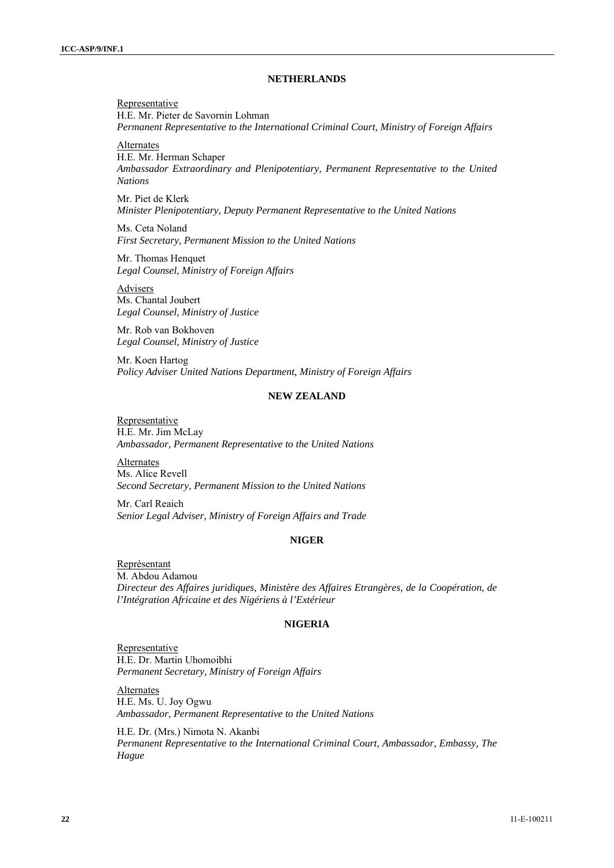### **NETHERLANDS**

Representative H.E. Mr. Pieter de Savornin Lohman *Permanent Representative to the International Criminal Court, Ministry of Foreign Affairs* 

Alternates

H.E. Mr. Herman Schaper *Ambassador Extraordinary and Plenipotentiary, Permanent Representative to the United Nations* 

Mr. Piet de Klerk *Minister Plenipotentiary, Deputy Permanent Representative to the United Nations* 

Ms. Ceta Noland *First Secretary, Permanent Mission to the United Nations* 

Mr. Thomas Henquet *Legal Counsel, Ministry of Foreign Affairs* 

Advisers Ms. Chantal Joubert *Legal Counsel, Ministry of Justice* 

Mr. Rob van Bokhoven *Legal Counsel, Ministry of Justice* 

Mr. Koen Hartog *Policy Adviser United Nations Department, Ministry of Foreign Affairs* 

#### **NEW ZEALAND**

Representative H.E. Mr. Jim McLay *Ambassador, Permanent Representative to the United Nations* 

Alternates Ms. Alice Revell *Second Secretary, Permanent Mission to the United Nations* 

Mr. Carl Reaich *Senior Legal Adviser, Ministry of Foreign Affairs and Trade* 

## **NIGER**

Représentant M. Abdou Adamou *Directeur des Affaires juridiques, Ministère des Affaires Etrangères, de la Coopération, de l'Intégration Africaine et des Nigériens à l'Extérieur* 

#### **NIGERIA**

**Representative** H.E. Dr. Martin Uhomoibhi *Permanent Secretary, Ministry of Foreign Affairs*

Alternates H.E. Ms. U. Joy Ogwu *Ambassador, Permanent Representative to the United Nations* 

H.E. Dr. (Mrs.) Nimota N. Akanbi *Permanent Representative to the International Criminal Court, Ambassador, Embassy, The Hague*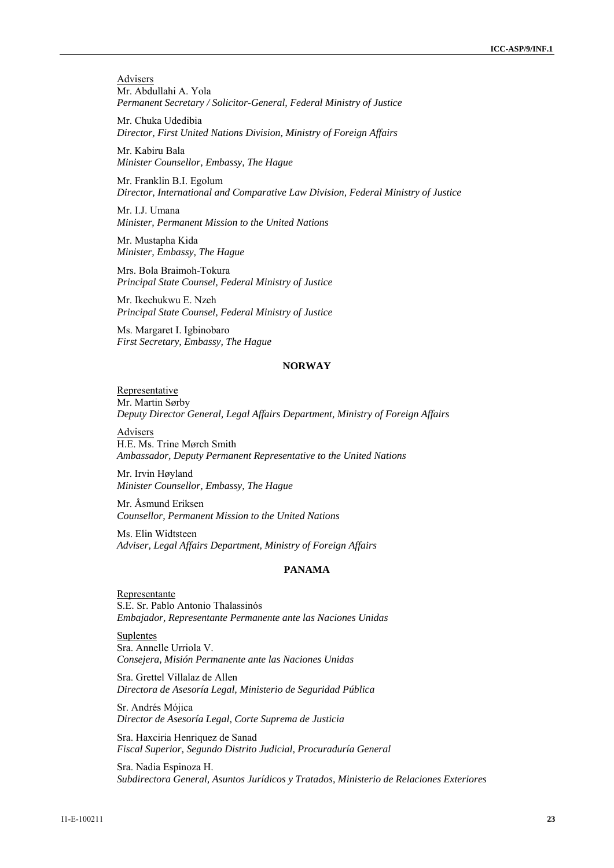**Advisers** Mr. Abdullahi A. Yola *Permanent Secretary / Solicitor-General, Federal Ministry of Justice* 

Mr. Chuka Udedibia *Director, First United Nations Division, Ministry of Foreign Affairs* 

Mr. Kabiru Bala *Minister Counsellor, Embassy, The Hague* 

Mr. Franklin B.I. Egolum *Director, International and Comparative Law Division, Federal Ministry of Justice* 

Mr. I.J. Umana *Minister, Permanent Mission to the United Nations* 

Mr. Mustapha Kida *Minister, Embassy, The Hague* 

Mrs. Bola Braimoh-Tokura *Principal State Counsel, Federal Ministry of Justice* 

Mr. Ikechukwu E. Nzeh *Principal State Counsel, Federal Ministry of Justice* 

Ms. Margaret I. Igbinobaro *First Secretary, Embassy, The Hague* 

## **NORWAY**

Representative Mr. Martin Sørby *Deputy Director General, Legal Affairs Department, Ministry of Foreign Affairs* 

Advisers H.E. Ms. Trine Mørch Smith *Ambassador, Deputy Permanent Representative to the United Nations* 

Mr. Irvin Høyland *Minister Counsellor, Embassy, The Hague* 

Mr. Åsmund Eriksen *Counsellor, Permanent Mission to the United Nations* 

Ms. Elin Widtsteen *Adviser, Legal Affairs Department, Ministry of Foreign Affairs* 

## **PANAMA**

Representante S.E. Sr. Pablo Antonio Thalassinós *Embajador, Representante Permanente ante las Naciones Unidas* 

**Suplentes** Sra. Annelle Urriola V. *Consejera, Misión Permanente ante las Naciones Unidas* 

Sra. Grettel Villalaz de Allen *Directora de Asesoría Legal, Ministerio de Seguridad Pública* 

Sr. Andrés Mójica *Director de Asesoría Legal, Corte Suprema de Justicia* 

Sra. Haxciria Henriquez de Sanad *Fiscal Superior, Segundo Distrito Judicial, Procuraduría General* 

Sra. Nadia Espinoza H. *Subdirectora General, Asuntos Jurídicos y Tratados, Ministerio de Relaciones Exteriores*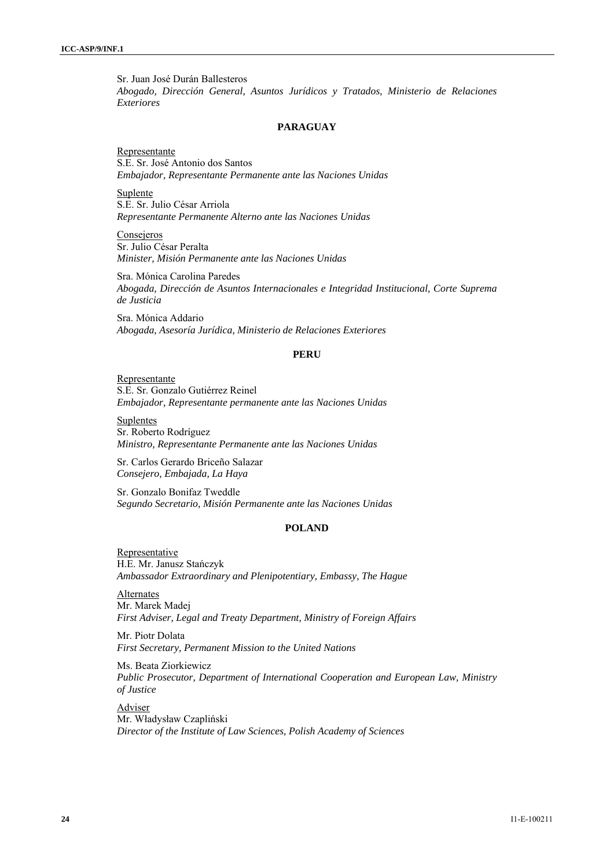Sr. Juan José Durán Ballesteros *Abogado, Dirección General, Asuntos Jurídicos y Tratados, Ministerio de Relaciones Exteriores* 

### **PARAGUAY**

Representante S.E. Sr. José Antonio dos Santos *Embajador, Representante Permanente ante las Naciones Unidas* 

Suplente S.E. Sr. Julio César Arriola *Representante Permanente Alterno ante las Naciones Unidas* 

Consejeros Sr. Julio César Peralta *Minister, Misión Permanente ante las Naciones Unidas* 

Sra. Mónica Carolina Paredes *Abogada, Dirección de Asuntos Internacionales e Integridad Institucional, Corte Suprema de Justicia* 

Sra. Mónica Addario *Abogada, Asesoría Jurídica, Ministerio de Relaciones Exteriores* 

### **PERU**

Representante S.E. Sr. Gonzalo Gutiérrez Reinel *Embajador, Representante permanente ante las Naciones Unidas* 

Suplentes Sr. Roberto Rodríguez *Ministro, Representante Permanente ante las Naciones Unidas* 

Sr. Carlos Gerardo Briceño Salazar *Consejero, Embajada, La Haya* 

Sr. Gonzalo Bonifaz Tweddle *Segundo Secretario, Misión Permanente ante las Naciones Unidas* 

## **POLAND**

Representative H.E. Mr. Janusz Stańczyk *Ambassador Extraordinary and Plenipotentiary, Embassy, The Hague* 

**Alternates** Mr. Marek Madej *First Adviser, Legal and Treaty Department, Ministry of Foreign Affairs* 

Mr. Piotr Dolata *First Secretary, Permanent Mission to the United Nations* 

Ms. Beata Ziorkiewicz *Public Prosecutor, Department of International Cooperation and European Law, Ministry of Justice* 

Adviser Mr. Władysław Czapliński *Director of the Institute of Law Sciences, Polish Academy of Sciences*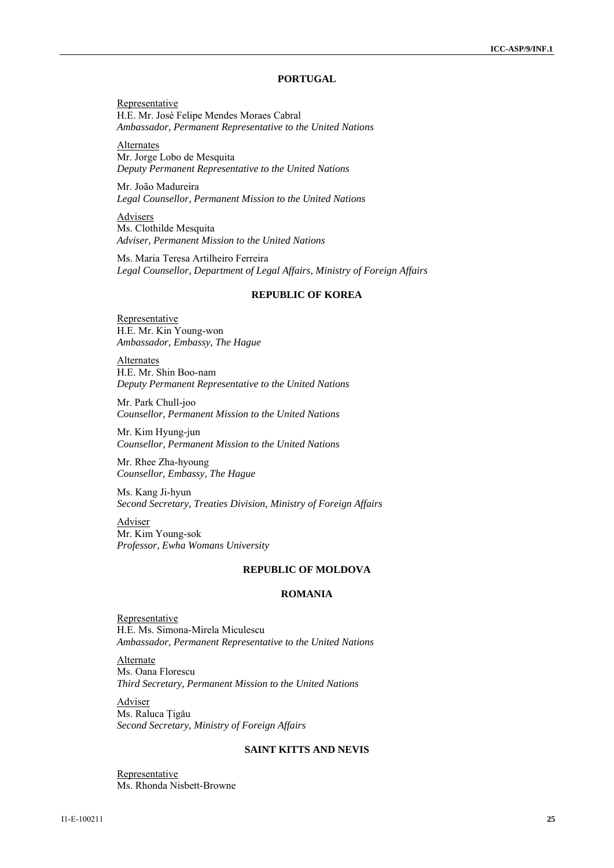### **PORTUGAL**

Representative H.E. Mr. José Felipe Mendes Moraes Cabral *Ambassador, Permanent Representative to the United Nations* 

Alternates Mr. Jorge Lobo de Mesquita *Deputy Permanent Representative to the United Nations* 

Mr. João Madureira *Legal Counsellor, Permanent Mission to the United Nations* 

Advisers Ms. Clothilde Mesquita *Adviser, Permanent Mission to the United Nations* 

Ms. Maria Teresa Artilheiro Ferreira *Legal Counsellor, Department of Legal Affairs, Ministry of Foreign Affairs* 

#### **REPUBLIC OF KOREA**

Representative H.E. Mr. Kin Young-won *Ambassador, Embassy, The Hague* 

Alternates H.E. Mr. Shin Boo-nam *Deputy Permanent Representative to the United Nations* 

Mr. Park Chull-joo *Counsellor, Permanent Mission to the United Nations* 

Mr. Kim Hyung-jun *Counsellor, Permanent Mission to the United Nations* 

Mr. Rhee Zha-hyoung *Counsellor, Embassy, The Hague* 

Ms. Kang Ji-hyun *Second Secretary, Treaties Division, Ministry of Foreign Affairs* 

Adviser Mr. Kim Young-sok *Professor, Ewha Womans University* 

#### **REPUBLIC OF MOLDOVA**

## **ROMANIA**

Representative H.E. Ms. Simona-Mirela Miculescu *Ambassador, Permanent Representative to the United Nations* 

Alternate Ms. Oana Florescu *Third Secretary, Permanent Mission to the United Nations* 

Adviser Ms. Raluca Ţigǎu *Second Secretary, Ministry of Foreign Affairs* 

## **SAINT KITTS AND NEVIS**

Representative Ms. Rhonda Nisbett-Browne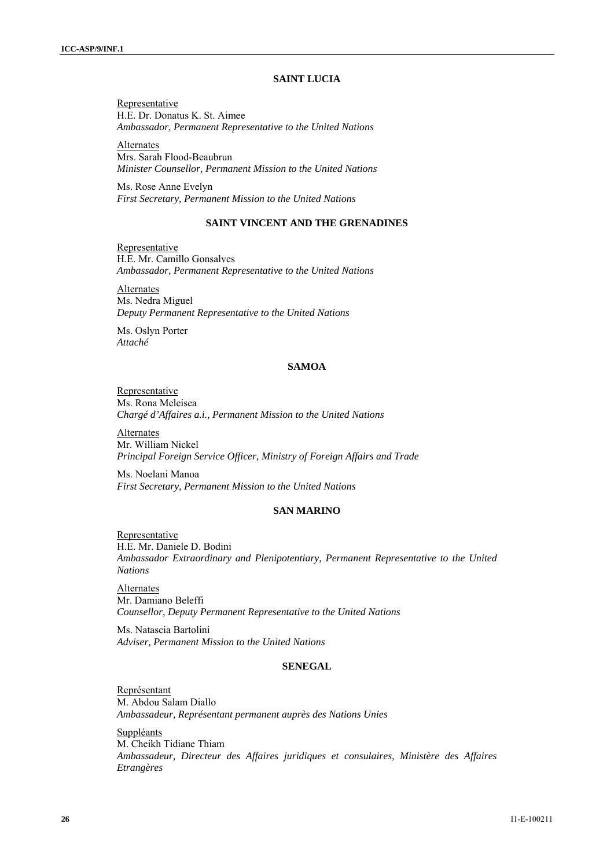## **SAINT LUCIA**

Representative H.E. Dr. Donatus K. St. Aimee *Ambassador, Permanent Representative to the United Nations* 

Alternates Mrs. Sarah Flood-Beaubrun *Minister Counsellor, Permanent Mission to the United Nations* 

Ms. Rose Anne Evelyn *First Secretary, Permanent Mission to the United Nations* 

## **SAINT VINCENT AND THE GRENADINES**

Representative H.E. Mr. Camillo Gonsalves *Ambassador, Permanent Representative to the United Nations* 

Alternates Ms. Nedra Miguel *Deputy Permanent Representative to the United Nations* 

Ms. Oslyn Porter *Attaché* 

## **SAMOA**

Representative Ms. Rona Meleisea *Chargé d'Affaires a.i., Permanent Mission to the United Nations* 

Alternates Mr. William Nickel *Principal Foreign Service Officer, Ministry of Foreign Affairs and Trade* 

Ms. Noelani Manoa *First Secretary, Permanent Mission to the United Nations*

## **SAN MARINO**

Representative H.E. Mr. Daniele D. Bodini *Ambassador Extraordinary and Plenipotentiary, Permanent Representative to the United Nations* 

**Alternates** Mr. Damiano Beleffi *Counsellor, Deputy Permanent Representative to the United Nations* 

Ms. Natascia Bartolini *Adviser, Permanent Mission to the United Nations*

## **SENEGAL**

Représentant M. Abdou Salam Diallo *Ambassadeur, Représentant permanent auprès des Nations Unies* 

Suppléants M. Cheikh Tidiane Thiam *Ambassadeur, Directeur des Affaires juridiques et consulaires, Ministère des Affaires Etrangères*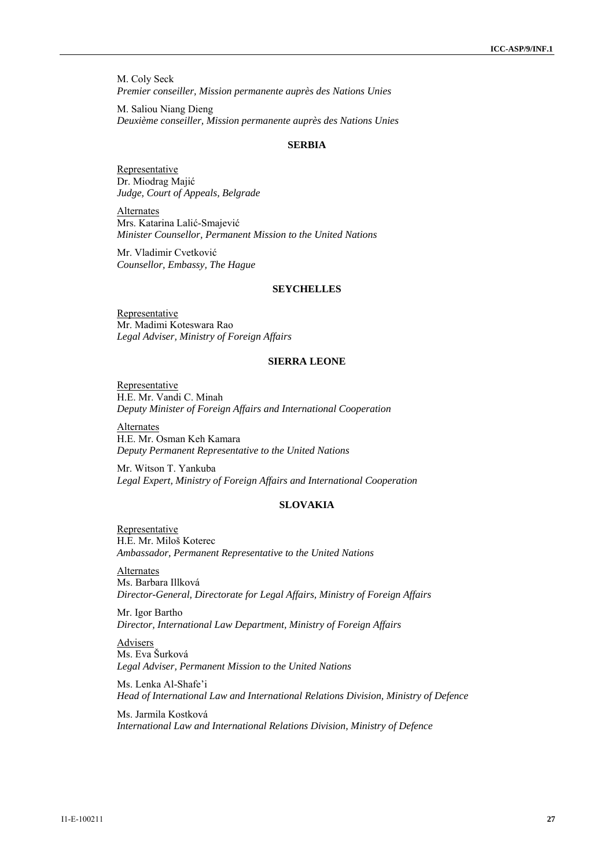M. Coly Seck *Premier conseiller, Mission permanente auprès des Nations Unies* 

M. Saliou Niang Dieng *Deuxième conseiller, Mission permanente auprès des Nations Unies* 

#### **SERBIA**

**Representative** Dr. Miodrag Majić *Judge, Court of Appeals, Belgrade* 

Alternates Mrs. Katarina Lalić-Smajević *Minister Counsellor, Permanent Mission to the United Nations* 

Mr. Vladimir Cvetković *Counsellor, Embassy, The Hague* 

#### **SEYCHELLES**

**Representative** Mr. Madimi Koteswara Rao *Legal Adviser, Ministry of Foreign Affairs* 

### **SIERRA LEONE**

Representative H.E. Mr. Vandi C. Minah *Deputy Minister of Foreign Affairs and International Cooperation* 

Alternates H.E. Mr. Osman Keh Kamara *Deputy Permanent Representative to the United Nations* 

Mr. Witson T. Yankuba *Legal Expert, Ministry of Foreign Affairs and International Cooperation* 

### **SLOVAKIA**

Representative H.E. Mr. Miloš Koterec *Ambassador, Permanent Representative to the United Nations* 

Alternates Ms. Barbara Illková *Director-General, Directorate for Legal Affairs, Ministry of Foreign Affairs* 

Mr. Igor Bartho *Director, International Law Department, Ministry of Foreign Affairs* 

Advisers Ms. Eva Šurková *Legal Adviser, Permanent Mission to the United Nations* 

Ms. Lenka Al-Shafe'i *Head of International Law and International Relations Division, Ministry of Defence* 

Ms. Jarmila Kostková *International Law and International Relations Division, Ministry of Defence*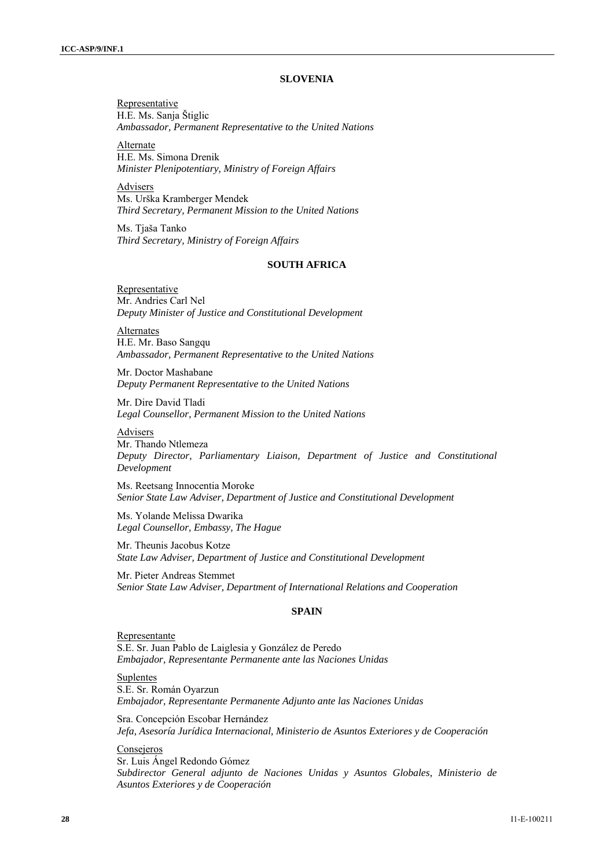### **SLOVENIA**

Representative H.E. Ms. Sanja Štiglic *Ambassador, Permanent Representative to the United Nations* 

Alternate H.E. Ms. Simona Drenik *Minister Plenipotentiary, Ministry of Foreign Affairs* 

Advisers Ms. Urška Kramberger Mendek *Third Secretary, Permanent Mission to the United Nations*

Ms. Tjaša Tanko *Third Secretary, Ministry of Foreign Affairs* 

## **SOUTH AFRICA**

Representative Mr. Andries Carl Nel *Deputy Minister of Justice and Constitutional Development* 

Alternates H.E. Mr. Baso Sangqu *Ambassador, Permanent Representative to the United Nations* 

Mr. Doctor Mashabane *Deputy Permanent Representative to the United Nations* 

Mr. Dire David Tladi *Legal Counsellor, Permanent Mission to the United Nations* 

**Advisers** Mr. Thando Ntlemeza *Deputy Director, Parliamentary Liaison, Department of Justice and Constitutional Development* 

Ms. Reetsang Innocentia Moroke *Senior State Law Adviser, Department of Justice and Constitutional Development* 

Ms. Yolande Melissa Dwarika *Legal Counsellor, Embassy, The Hague* 

Mr. Theunis Jacobus Kotze *State Law Adviser, Department of Justice and Constitutional Development* 

Mr. Pieter Andreas Stemmet *Senior State Law Adviser, Department of International Relations and Cooperation* 

#### **SPAIN**

Representante S.E. Sr. Juan Pablo de Laiglesia y González de Peredo *Embajador, Representante Permanente ante las Naciones Unidas* 

**Suplentes** S.E. Sr. Román Oyarzun *Embajador, Representante Permanente Adjunto ante las Naciones Unidas* 

Sra. Concepción Escobar Hernández *Jefa, Asesoría Jurídica Internacional, Ministerio de Asuntos Exteriores y de Cooperación* 

Consejeros Sr. Luis Ángel Redondo Gómez *Subdirector General adjunto de Naciones Unidas y Asuntos Globales, Ministerio de Asuntos Exteriores y de Cooperación*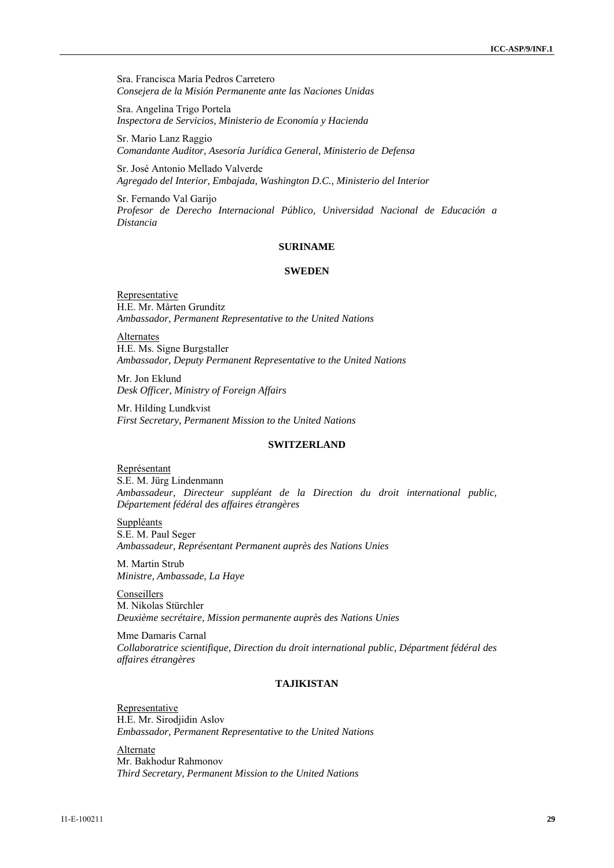Sra. Francisca María Pedros Carretero *Consejera de la Misión Permanente ante las Naciones Unidas* 

Sra. Angelina Trigo Portela *Inspectora de Servicios, Ministerio de Economía y Hacienda* 

Sr. Mario Lanz Raggio *Comandante Auditor, Asesoría Jurídica General, Ministerio de Defensa* 

Sr. José Antonio Mellado Valverde *Agregado del Interior, Embajada, Washington D.C., Ministerio del Interior* 

Sr. Fernando Val Garijo *Profesor de Derecho Internacional Público, Universidad Nacional de Educación a Distancia* 

#### **SURINAME**

### **SWEDEN**

Representative H.E. Mr. Mårten Grunditz *Ambassador, Permanent Representative to the United Nations* 

Alternates H.E. Ms. Signe Burgstaller *Ambassador, Deputy Permanent Representative to the United Nations* 

Mr. Jon Eklund *Desk Officer, Ministry of Foreign Affairs* 

Mr. Hilding Lundkvist *First Secretary, Permanent Mission to the United Nations* 

#### **SWITZERLAND**

Représentant S.E. M. Jürg Lindenmann *Ambassadeur, Directeur suppléant de la Direction du droit international public, Département fédéral des affaires étrangères* 

Suppléants S.E. M. Paul Seger *Ambassadeur, Représentant Permanent auprès des Nations Unies* 

M. Martin Strub *Ministre, Ambassade, La Haye* 

**Conseillers** M. Nikolas Stürchler *Deuxième secrétaire, Mission permanente auprès des Nations Unies* 

Mme Damaris Carnal *Collaboratrice scientifique, Direction du droit international public, Départment fédéral des affaires étrangères* 

## **TAJIKISTAN**

**Representative** H.E. Mr. Sirodjidin Aslov *Embassador, Permanent Representative to the United Nations* 

Alternate Mr. Bakhodur Rahmonov *Third Secretary, Permanent Mission to the United Nations*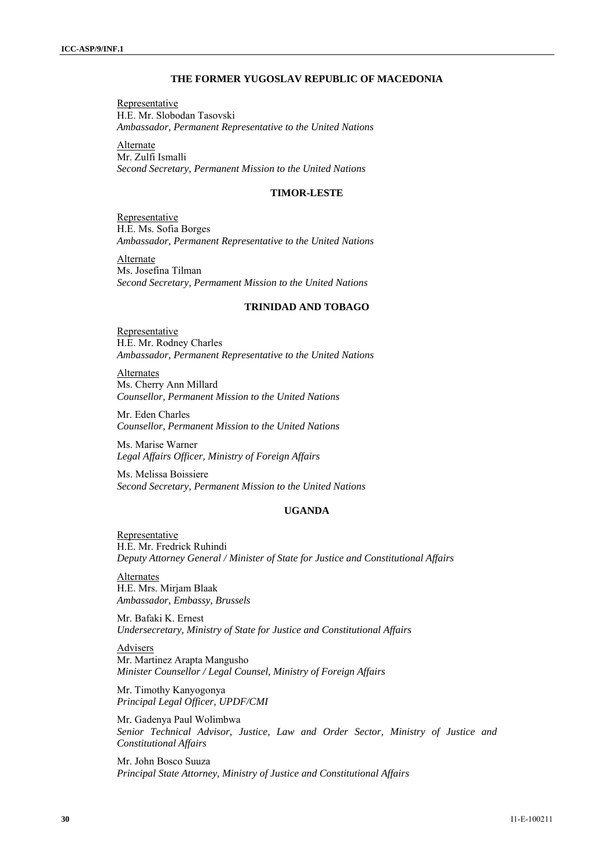#### **THE FORMER YUGOSLAV REPUBLIC OF MACEDONIA**

Representative H.E. Mr. Slobodan Tasovski *Ambassador, Permanent Representative to the United Nations* 

Alternate Mr. Zulfi Ismalli *Second Secretary, Permanent Mission to the United Nations* 

## **TIMOR-LESTE**

**Representative** H.E. Ms. Sofia Borges *Ambassador, Permanent Representative to the United Nations* 

Alternate Ms. Josefina Tilman *Second Secretary, Permament Mission to the United Nations* 

### **TRINIDAD AND TOBAGO**

**Representative** H.E. Mr. Rodney Charles *Ambassador, Permanent Representative to the United Nations* 

Alternates Ms. Cherry Ann Millard *Counsellor, Permanent Mission to the United Nations* 

Mr. Eden Charles *Counsellor, Permanent Mission to the United Nations* 

Ms. Marise Warner *Legal Affairs Officer, Ministry of Foreign Affairs* 

Ms. Melissa Boissiere *Second Secretary, Permanent Mission to the United Nations* 

## **UGANDA**

Representative H.E. Mr. Fredrick Ruhindi *Deputy Attorney General / Minister of State for Justice and Constitutional Affairs* 

Alternates H.E. Mrs. Mirjam Blaak *Ambassador, Embassy, Brussels* 

Mr. Bafaki K. Ernest *Undersecretary, Ministry of State for Justice and Constitutional Affairs* 

Advisers Mr. Martinez Arapta Mangusho *Minister Counsellor / Legal Counsel, Ministry of Foreign Affairs* 

Mr. Timothy Kanyogonya *Principal Legal Officer, UPDF/CMI* 

Mr. Gadenya Paul Wolimbwa *Senior Technical Advisor, Justice, Law and Order Sector, Ministry of Justice and Constitutional Affairs* 

Mr. John Bosco Suuza *Principal State Attorney, Ministry of Justice and Constitutional Affairs*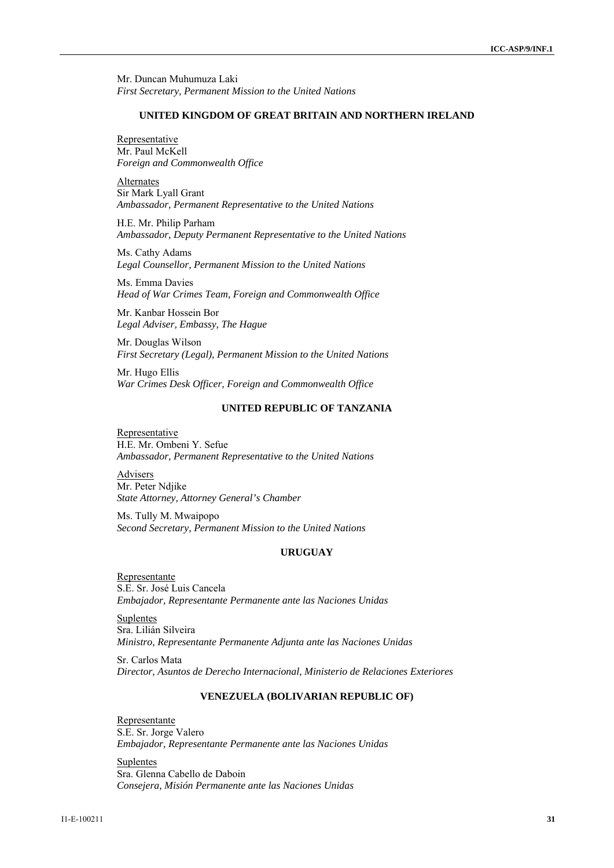Mr. Duncan Muhumuza Laki *First Secretary, Permanent Mission to the United Nations* 

### **UNITED KINGDOM OF GREAT BRITAIN AND NORTHERN IRELAND**

**Representative** Mr. Paul McKell *Foreign and Commonwealth Office* 

Alternates Sir Mark Lyall Grant *Ambassador, Permanent Representative to the United Nations* 

H.E. Mr. Philip Parham *Ambassador, Deputy Permanent Representative to the United Nations* 

Ms. Cathy Adams *Legal Counsellor, Permanent Mission to the United Nations* 

Ms. Emma Davies *Head of War Crimes Team, Foreign and Commonwealth Office* 

Mr. Kanbar Hossein Bor *Legal Adviser, Embassy, The Hague* 

Mr. Douglas Wilson *First Secretary (Legal), Permanent Mission to the United Nations* 

Mr. Hugo Ellis *War Crimes Desk Officer, Foreign and Commonwealth Office* 

## **UNITED REPUBLIC OF TANZANIA**

Representative H.E. Mr. Ombeni Y. Sefue *Ambassador, Permanent Representative to the United Nations* 

Advisers Mr. Peter Ndjike *State Attorney, Attorney General's Chamber* 

Ms. Tully M. Mwaipopo *Second Secretary, Permanent Mission to the United Nations*

#### **URUGUAY**

Representante S.E. Sr. José Luis Cancela *Embajador, Representante Permanente ante las Naciones Unidas* 

Suplentes Sra. Lilián Silveira *Ministro, Representante Permanente Adjunta ante las Naciones Unidas* 

Sr. Carlos Mata *Director, Asuntos de Derecho Internacional, Ministerio de Relaciones Exteriores* 

## **VENEZUELA (BOLIVARIAN REPUBLIC OF)**

Representante S.E. Sr. Jorge Valero *Embajador, Representante Permanente ante las Naciones Unidas* 

Suplentes Sra. Glenna Cabello de Daboin *Consejera, Misión Permanente ante las Naciones Unidas*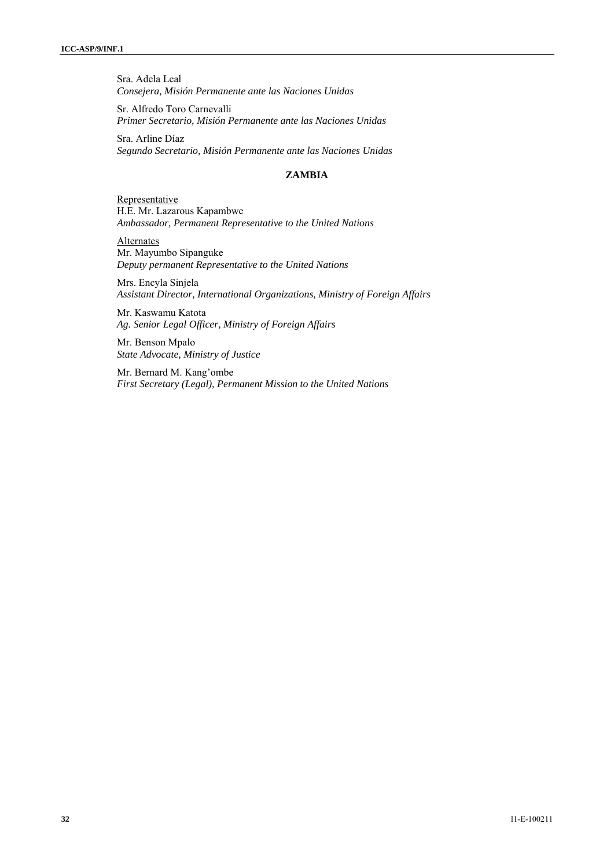Sra. Adela Leal *Consejera, Misión Permanente ante las Naciones Unidas* 

Sr. Alfredo Toro Carnevalli *Primer Secretario, Misión Permanente ante las Naciones Unidas* 

Sra. Arline Díaz *Segundo Secretario, Misión Permanente ante las Naciones Unidas* 

## **ZAMBIA**

Representative H.E. Mr. Lazarous Kapambwe *Ambassador, Permanent Representative to the United Nations* 

Alternates Mr. Mayumbo Sipanguke *Deputy permanent Representative to the United Nations* 

Mrs. Encyla Sinjela *Assistant Director, International Organizations, Ministry of Foreign Affairs* 

Mr. Kaswamu Katota *Ag. Senior Legal Officer, Ministry of Foreign Affairs* 

Mr. Benson Mpalo *State Advocate, Ministry of Justice* 

Mr. Bernard M. Kang'ombe *First Secretary (Legal), Permanent Mission to the United Nations*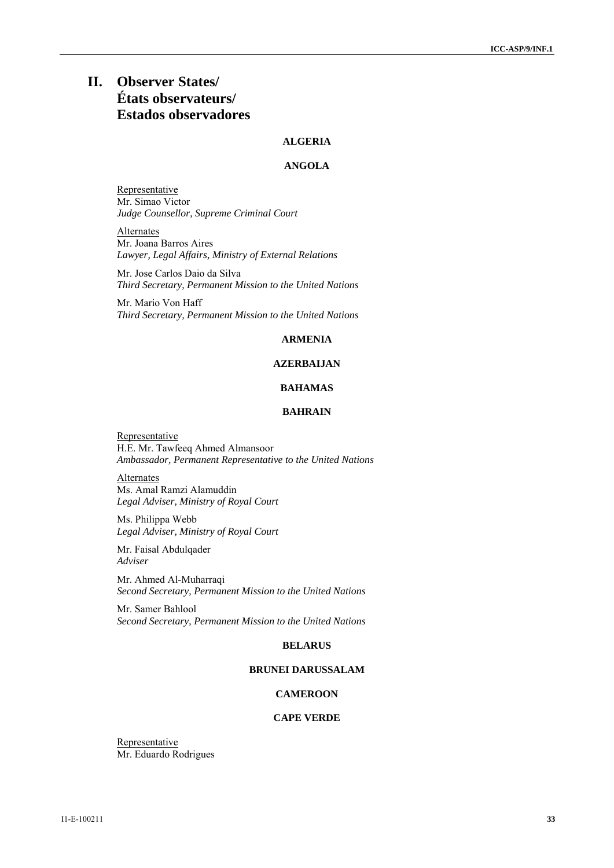# **II. Observer States/ États observateurs/ Estados observadores**

## **ALGERIA**

## **ANGOLA**

Representative Mr. Simao Victor *Judge Counsellor, Supreme Criminal Court* 

Alternates Mr. Joana Barros Aires *Lawyer, Legal Affairs, Ministry of External Relations* 

Mr. Jose Carlos Daio da Silva *Third Secretary, Permanent Mission to the United Nations* 

Mr. Mario Von Haff *Third Secretary, Permanent Mission to the United Nations* 

### **ARMENIA**

## **AZERBAIJAN**

## **BAHAMAS**

## **BAHRAIN**

Representative H.E. Mr. Tawfeeq Ahmed Almansoor *Ambassador, Permanent Representative to the United Nations* 

**Alternates** Ms. Amal Ramzi Alamuddin *Legal Adviser, Ministry of Royal Court* 

Ms. Philippa Webb *Legal Adviser, Ministry of Royal Court* 

Mr. Faisal Abdulqader *Adviser* 

Mr. Ahmed Al-Muharraqi *Second Secretary, Permanent Mission to the United Nations* 

Mr. Samer Bahlool *Second Secretary, Permanent Mission to the United Nations* 

#### **BELARUS**

## **BRUNEI DARUSSALAM**

## **CAMEROON**

## **CAPE VERDE**

**Representative** Mr. Eduardo Rodrigues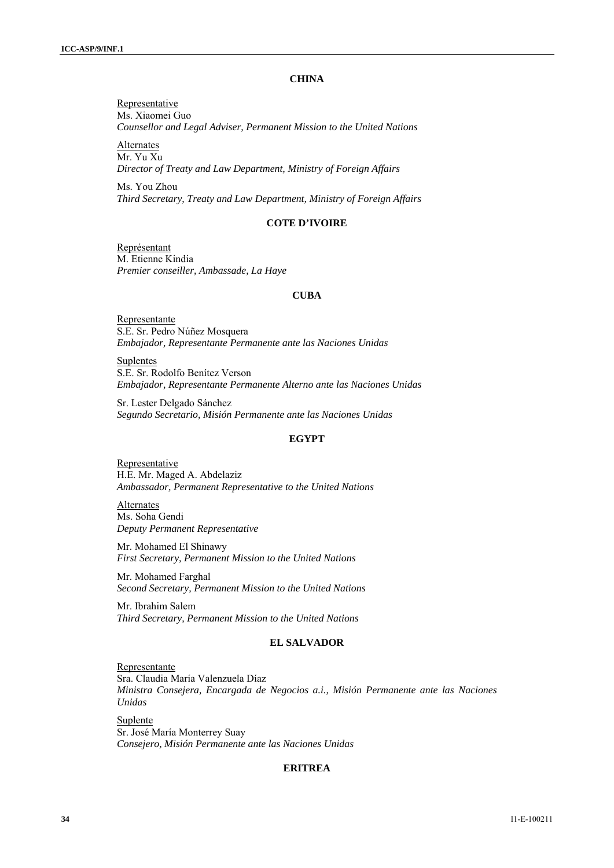## **CHINA**

Representative Ms. Xiaomei Guo *Counsellor and Legal Adviser, Permanent Mission to the United Nations* 

Alternates Mr. Yu Xu *Director of Treaty and Law Department, Ministry of Foreign Affairs* 

Ms. You Zhou *Third Secretary, Treaty and Law Department, Ministry of Foreign Affairs* 

### **COTE D'IVOIRE**

Représentant M. Etienne Kindia *Premier conseiller, Ambassade, La Haye* 

#### **CUBA**

Representante S.E. Sr. Pedro Núñez Mosquera *Embajador, Representante Permanente ante las Naciones Unidas* 

Suplentes S.E. Sr. Rodolfo Benítez Verson *Embajador, Representante Permanente Alterno ante las Naciones Unidas* 

Sr. Lester Delgado Sánchez *Segundo Secretario, Misión Permanente ante las Naciones Unidas* 

## **EGYPT**

**Representative** H.E. Mr. Maged A. Abdelaziz *Ambassador, Permanent Representative to the United Nations* 

Alternates Ms. Soha Gendi *Deputy Permanent Representative* 

Mr. Mohamed El Shinawy *First Secretary, Permanent Mission to the United Nations* 

Mr. Mohamed Farghal *Second Secretary, Permanent Mission to the United Nations* 

Mr. Ibrahim Salem *Third Secretary, Permanent Mission to the United Nations* 

## **EL SALVADOR**

Representante Sra. Claudia María Valenzuela Díaz *Ministra Consejera, Encargada de Negocios a.i., Misión Permanente ante las Naciones Unidas* 

Suplente Sr. José María Monterrey Suay *Consejero, Misión Permanente ante las Naciones Unidas* 

#### **ERITREA**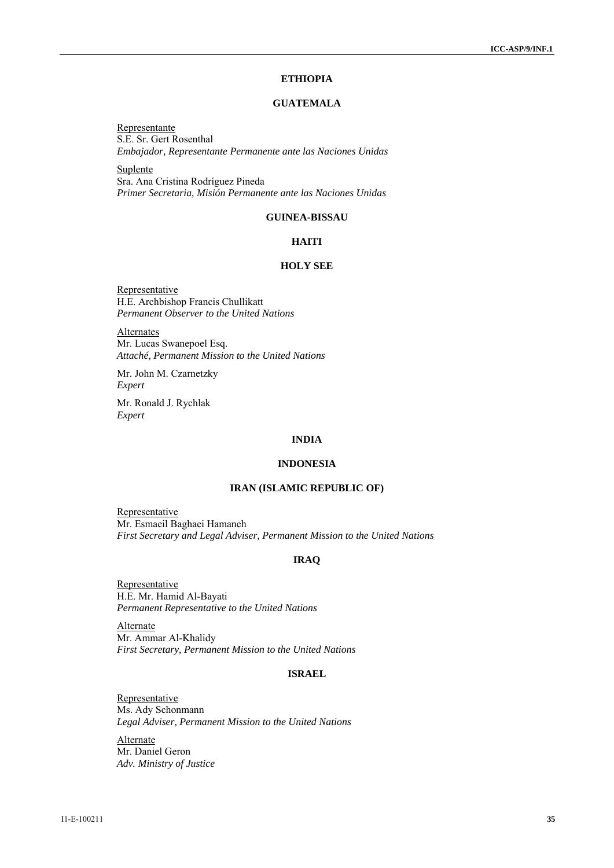## **ETHIOPIA**

## **GUATEMALA**

Representante S.E. Sr. Gert Rosenthal *Embajador, Representante Permanente ante las Naciones Unidas* 

**Suplente** Sra. Ana Cristina Rodríguez Pineda *Primer Secretaria, Misión Permanente ante las Naciones Unidas* 

### **GUINEA-BISSAU**

## **HAITI**

## **HOLY SEE**

Representative H.E. Archbishop Francis Chullikatt *Permanent Observer to the United Nations* 

**Alternates** Mr. Lucas Swanepoel Esq. *Attaché, Permanent Mission to the United Nations* 

Mr. John M. Czarnetzky *Expert* 

Mr. Ronald J. Rychlak *Expert* 

### **INDIA**

### **INDONESIA**

#### **IRAN (ISLAMIC REPUBLIC OF)**

Representative Mr. Esmaeil Baghaei Hamaneh *First Secretary and Legal Adviser, Permanent Mission to the United Nations* 

## **IRAQ**

Representative H.E. Mr. Hamid Al-Bayati *Permanent Representative to the United Nations* 

Alternate Mr. Ammar Al-Khalidy *First Secretary, Permanent Mission to the United Nations* 

## **ISRAEL**

**Representative** Ms. Ady Schonmann *Legal Adviser, Permanent Mission to the United Nations* 

Alternate Mr. Daniel Geron *Adv. Ministry of Justice*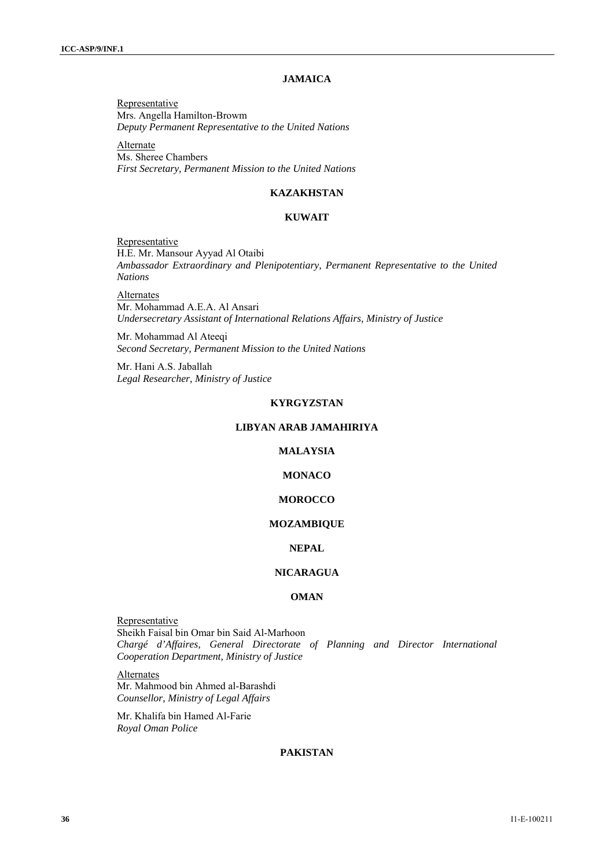## **JAMAICA**

Representative Mrs. Angella Hamilton-Browm *Deputy Permanent Representative to the United Nations* 

**Alternate** Ms. Sheree Chambers *First Secretary, Permanent Mission to the United Nations* 

## **KAZAKHSTAN**

### **KUWAIT**

**Representative** H.E. Mr. Mansour Ayyad Al Otaibi *Ambassador Extraordinary and Plenipotentiary, Permanent Representative to the United Nations*

Alternates Mr. Mohammad A.E.A. Al Ansari *Undersecretary Assistant of International Relations Affairs, Ministry of Justice* 

Mr. Mohammad Al Ateeqi *Second Secretary, Permanent Mission to the United Nations* 

Mr. Hani A.S. Jaballah *Legal Researcher, Ministry of Justice* 

## **KYRGYZSTAN**

## **LIBYAN ARAB JAMAHIRIYA**

## **MALAYSIA**

## **MONACO**

#### **MOROCCO**

#### **MOZAMBIQUE**

## **NEPAL**

## **NICARAGUA**

## **OMAN**

Representative Sheikh Faisal bin Omar bin Said Al-Marhoon *Chargé d'Affaires, General Directorate of Planning and Director International Cooperation Department, Ministry of Justice* 

Alternates Mr. Mahmood bin Ahmed al-Barashdi *Counsellor, Ministry of Legal Affairs* 

Mr. Khalifa bin Hamed Al-Farie *Royal Oman Police* 

## **PAKISTAN**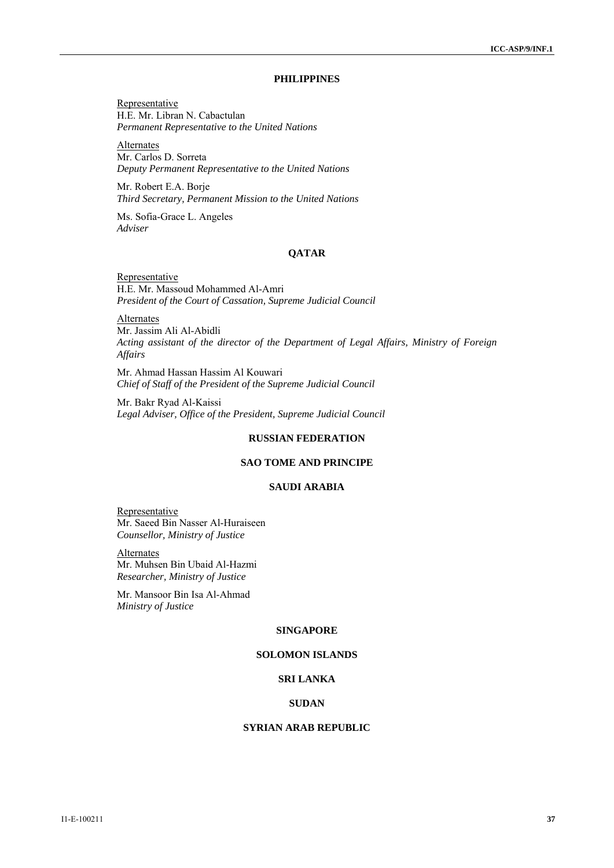## **PHILIPPINES**

Representative H.E. Mr. Libran N. Cabactulan *Permanent Representative to the United Nations* 

Alternates Mr. Carlos D. Sorreta *Deputy Permanent Representative to the United Nations* 

Mr. Robert E.A. Borje *Third Secretary, Permanent Mission to the United Nations* 

Ms. Sofia-Grace L. Angeles *Adviser* 

## **QATAR**

Representative H.E. Mr. Massoud Mohammed Al-Amri *President of the Court of Cassation, Supreme Judicial Council* 

**Alternates** Mr. Jassim Ali Al-Abidli *Acting assistant of the director of the Department of Legal Affairs, Ministry of Foreign Affairs* 

Mr. Ahmad Hassan Hassim Al Kouwari *Chief of Staff of the President of the Supreme Judicial Council* 

Mr. Bakr Ryad Al-Kaissi *Legal Adviser, Office of the President, Supreme Judicial Council* 

### **RUSSIAN FEDERATION**

## **SAO TOME AND PRINCIPE**

#### **SAUDI ARABIA**

Representative Mr. Saeed Bin Nasser Al-Huraiseen *Counsellor, Ministry of Justice* 

**Alternates** Mr. Muhsen Bin Ubaid Al-Hazmi *Researcher, Ministry of Justice* 

Mr. Mansoor Bin Isa Al-Ahmad *Ministry of Justice*

## **SINGAPORE**

## **SOLOMON ISLANDS**

### **SRI LANKA**

## **SUDAN**

### **SYRIAN ARAB REPUBLIC**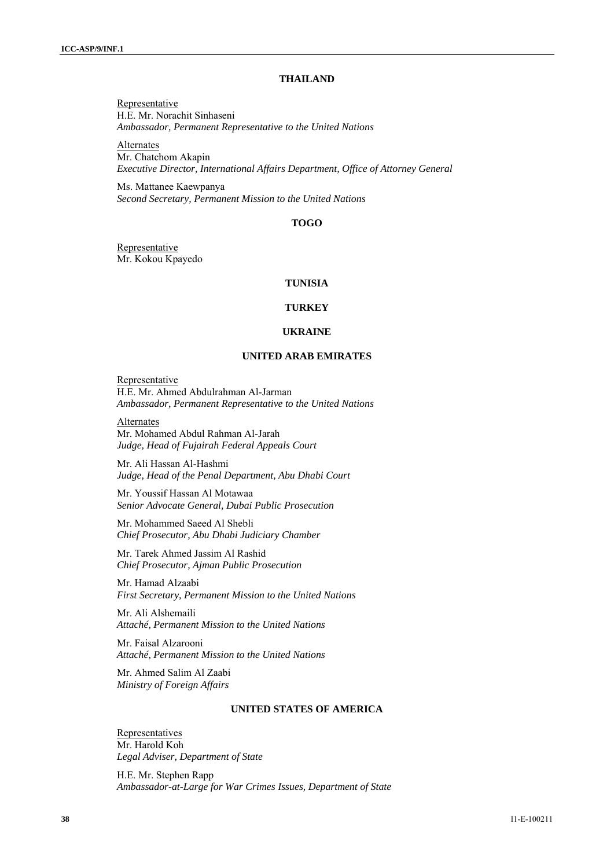### **THAILAND**

Representative H.E. Mr. Norachit Sinhaseni *Ambassador, Permanent Representative to the United Nations* 

Alternates Mr. Chatchom Akapin *Executive Director, International Affairs Department, Office of Attorney General* 

Ms. Mattanee Kaewpanya *Second Secretary, Permanent Mission to the United Nations* 

### **TOGO**

Representative Mr. Kokou Kpayedo

#### **TUNISIA**

### **TURKEY**

#### **UKRAINE**

### **UNITED ARAB EMIRATES**

Representative H.E. Mr. Ahmed Abdulrahman Al-Jarman *Ambassador, Permanent Representative to the United Nations* 

Alternates

Mr. Mohamed Abdul Rahman Al-Jarah *Judge, Head of Fujairah Federal Appeals Court* 

Mr. Ali Hassan Al-Hashmi *Judge, Head of the Penal Department, Abu Dhabi Court* 

Mr. Youssif Hassan Al Motawaa *Senior Advocate General, Dubai Public Prosecution* 

Mr. Mohammed Saeed Al Shebli *Chief Prosecutor, Abu Dhabi Judiciary Chamber* 

Mr. Tarek Ahmed Jassim Al Rashid *Chief Prosecutor, Ajman Public Prosecution* 

Mr. Hamad Alzaabi *First Secretary, Permanent Mission to the United Nations* 

Mr. Ali Alshemaili *Attaché, Permanent Mission to the United Nations* 

Mr. Faisal Alzarooni *Attaché, Permanent Mission to the United Nations* 

Mr. Ahmed Salim Al Zaabi *Ministry of Foreign Affairs* 

## **UNITED STATES OF AMERICA**

Representatives Mr. Harold Koh *Legal Adviser, Department of State* 

H.E. Mr. Stephen Rapp *Ambassador-at-Large for War Crimes Issues, Department of State*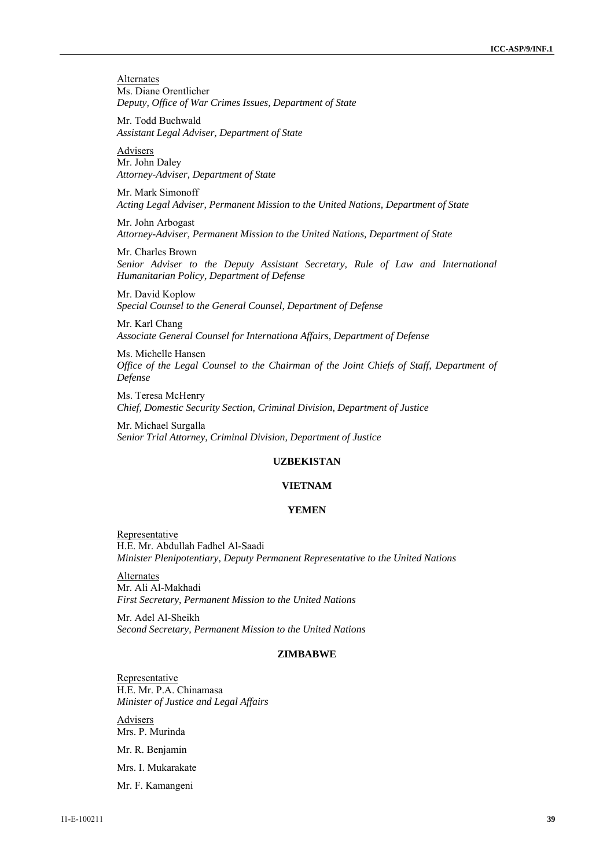**Alternates** Ms. Diane Orentlicher *Deputy, Office of War Crimes Issues, Department of State* 

Mr. Todd Buchwald *Assistant Legal Adviser, Department of State* 

Advisers Mr. John Daley *Attorney-Adviser, Department of State* 

Mr. Mark Simonoff *Acting Legal Adviser, Permanent Mission to the United Nations, Department of State* 

Mr. John Arbogast *Attorney-Adviser, Permanent Mission to the United Nations, Department of State* 

Mr. Charles Brown *Senior Adviser to the Deputy Assistant Secretary, Rule of Law and International Humanitarian Policy, Department of Defense* 

Mr. David Koplow *Special Counsel to the General Counsel, Department of Defense* 

Mr. Karl Chang *Associate General Counsel for Internationa Affairs, Department of Defense* 

Ms. Michelle Hansen *Office of the Legal Counsel to the Chairman of the Joint Chiefs of Staff, Department of Defense* 

Ms. Teresa McHenry *Chief, Domestic Security Section, Criminal Division, Department of Justice* 

Mr. Michael Surgalla *Senior Trial Attorney, Criminal Division, Department of Justice* 

### **UZBEKISTAN**

#### **VIETNAM**

#### **YEMEN**

**Representative** H.E. Mr. Abdullah Fadhel Al-Saadi *Minister Plenipotentiary, Deputy Permanent Representative to the United Nations* 

**Alternates** Mr. Ali Al-Makhadi *First Secretary, Permanent Mission to the United Nations* 

Mr. Adel Al-Sheikh *Second Secretary, Permanent Mission to the United Nations* 

## **ZIMBABWE**

Representative H.E. Mr. P.A. Chinamasa *Minister of Justice and Legal Affairs* 

Advisers Mrs. P. Murinda

Mr. R. Benjamin

Mrs. I. Mukarakate

Mr. F. Kamangeni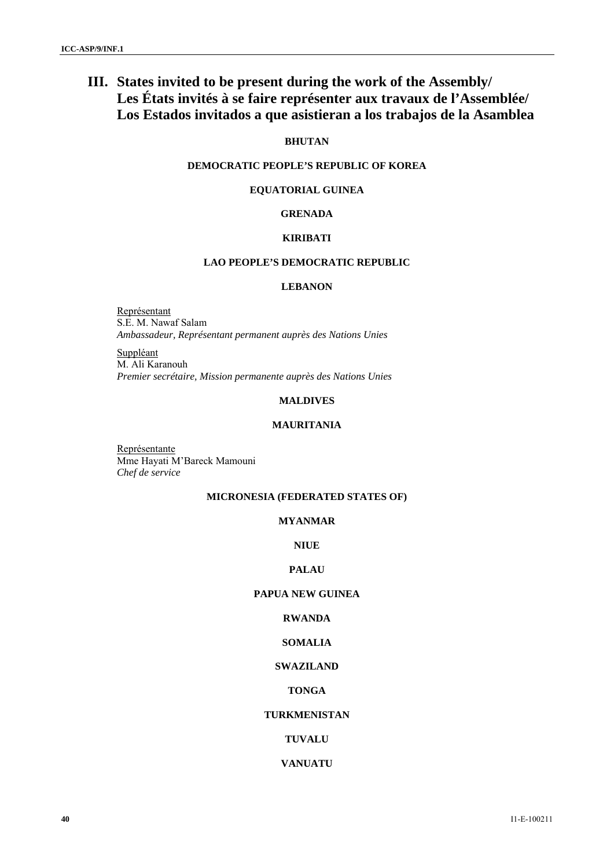# **III. States invited to be present during the work of the Assembly/ Les États invités à se faire représenter aux travaux de l'Assemblée/ Los Estados invitados a que asistieran a los trabajos de la Asamblea**

## **BHUTAN**

## **DEMOCRATIC PEOPLE'S REPUBLIC OF KOREA**

## **EQUATORIAL GUINEA**

## **GRENADA**

### **KIRIBATI**

## **LAO PEOPLE'S DEMOCRATIC REPUBLIC**

### **LEBANON**

Représentant S.E. M. Nawaf Salam *Ambassadeur, Représentant permanent auprès des Nations Unies* 

Suppléant M. Ali Karanouh *Premier secrétaire, Mission permanente auprès des Nations Unies* 

## **MALDIVES**

## **MAURITANIA**

Représentante Mme Hayati M'Bareck Mamouni *Chef de service* 

## **MICRONESIA (FEDERATED STATES OF)**

## **MYANMAR**

### **NIUE**

## **PALAU**

## **PAPUA NEW GUINEA**

## **RWANDA**

## **SOMALIA**

## **SWAZILAND**

## **TONGA**

## **TURKMENISTAN**

## **TUVALU**

## **VANUATU**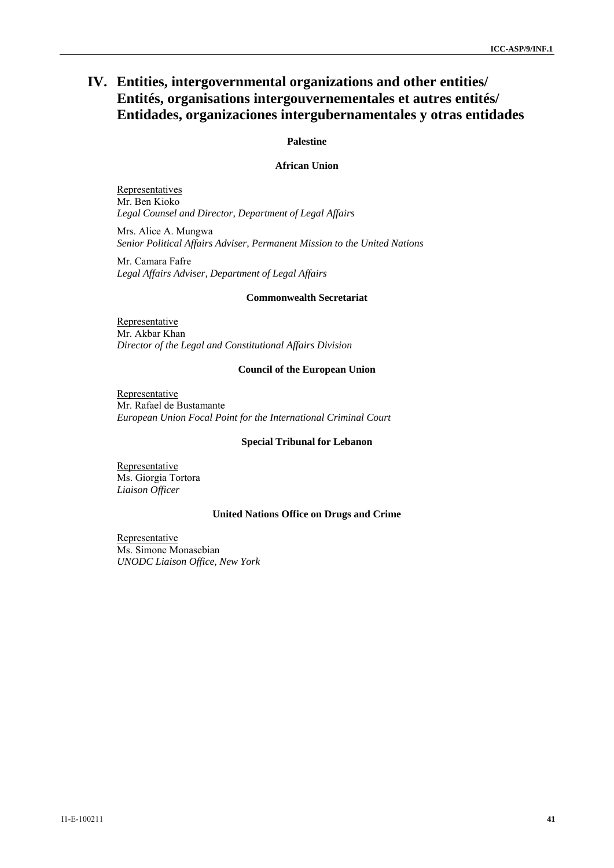# **IV. Entities, intergovernmental organizations and other entities/ Entités, organisations intergouvernementales et autres entités/ Entidades, organizaciones intergubernamentales y otras entidades**

## **Palestine**

## **African Union**

**Representatives** Mr. Ben Kioko *Legal Counsel and Director, Department of Legal Affairs* 

Mrs. Alice A. Mungwa *Senior Political Affairs Adviser, Permanent Mission to the United Nations* 

Mr. Camara Fafre *Legal Affairs Adviser, Department of Legal Affairs* 

#### **Commonwealth Secretariat**

Representative Mr. Akbar Khan *Director of the Legal and Constitutional Affairs Division* 

#### **Council of the European Union**

Representative Mr. Rafael de Bustamante *European Union Focal Point for the International Criminal Court* 

#### **Special Tribunal for Lebanon**

Representative Ms. Giorgia Tortora *Liaison Officer* 

### **United Nations Office on Drugs and Crime**

Representative Ms. Simone Monasebian *UNODC Liaison Office, New York*